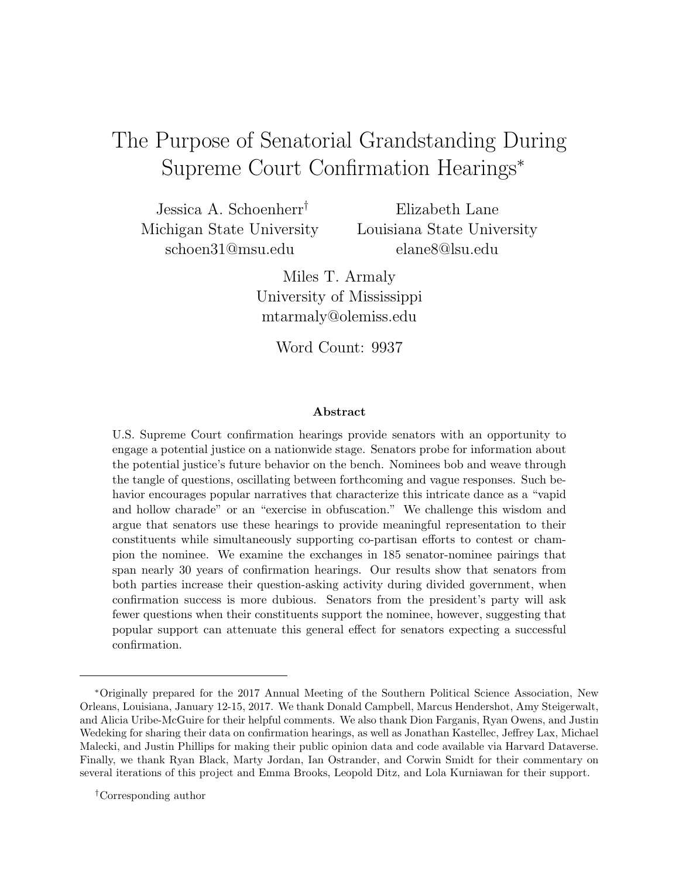# <span id="page-0-0"></span>The Purpose of Senatorial Grandstanding During Supreme Court Confirmation Hearings<sup>∗</sup>

Jessica A. Schoenherr† Michigan State University [schoen31@msu.edu](mailto:schoen31@msu.edu)

Elizabeth Lane Louisiana State University [elane8@lsu.edu](mailto:elane8@lsu.edu)

Miles T. Armaly University of Mississippi [mtarmaly@olemiss.edu](mailto:mtarmaly@olemiss.edu)

Word Count: 9937

#### Abstract

U.S. Supreme Court confirmation hearings provide senators with an opportunity to engage a potential justice on a nationwide stage. Senators probe for information about the potential justice's future behavior on the bench. Nominees bob and weave through the tangle of questions, oscillating between forthcoming and vague responses. Such behavior encourages popular narratives that characterize this intricate dance as a "vapid and hollow charade" or an "exercise in obfuscation." We challenge this wisdom and argue that senators use these hearings to provide meaningful representation to their constituents while simultaneously supporting co-partisan efforts to contest or champion the nominee. We examine the exchanges in 185 senator-nominee pairings that span nearly 30 years of confirmation hearings. Our results show that senators from both parties increase their question-asking activity during divided government, when confirmation success is more dubious. Senators from the president's party will ask fewer questions when their constituents support the nominee, however, suggesting that popular support can attenuate this general effect for senators expecting a successful confirmation.

<sup>∗</sup>Originally prepared for the 2017 Annual Meeting of the Southern Political Science Association, New Orleans, Louisiana, January 12-15, 2017. We thank Donald Campbell, Marcus Hendershot, Amy Steigerwalt, and Alicia Uribe-McGuire for their helpful comments. We also thank Dion Farganis, Ryan Owens, and Justin Wedeking for sharing their data on confirmation hearings, as well as Jonathan Kastellec, Jeffrey Lax, Michael Malecki, and Justin Phillips for making their public opinion data and code available via Harvard Dataverse. Finally, we thank Ryan Black, Marty Jordan, Ian Ostrander, and Corwin Smidt for their commentary on several iterations of this project and Emma Brooks, Leopold Ditz, and Lola Kurniawan for their support.

<sup>†</sup>Corresponding author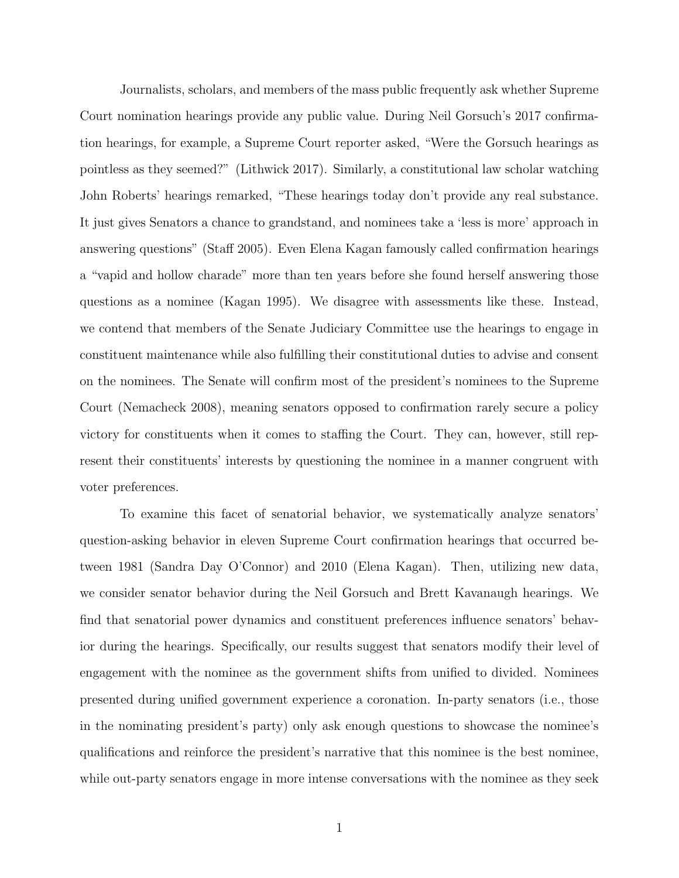Journalists, scholars, and members of the mass public frequently ask whether Supreme Court nomination hearings provide any public value. During Neil Gorsuch's 2017 confirmation hearings, for example, a Supreme Court reporter asked, "Were the Gorsuch hearings as pointless as they seemed?" [\(Lithwick 2017\)](#page-34-0). Similarly, a constitutional law scholar watching John Roberts' hearings remarked, "These hearings today don't provide any real substance. It just gives Senators a chance to grandstand, and nominees take a 'less is more' approach in answering questions" [\(Staff 2005\)](#page-36-0). Even Elena Kagan famously called confirmation hearings a "vapid and hollow charade" more than ten years before she found herself answering those questions as a nominee [\(Kagan 1995\)](#page-33-0). We disagree with assessments like these. Instead, we contend that members of the Senate Judiciary Committee use the hearings to engage in constituent maintenance while also fulfilling their constitutional duties to advise and consent on the nominees. The Senate will confirm most of the president's nominees to the Supreme Court [\(Nemacheck 2008\)](#page-35-0), meaning senators opposed to confirmation rarely secure a policy victory for constituents when it comes to staffing the Court. They can, however, still represent their constituents' interests by questioning the nominee in a manner congruent with voter preferences.

To examine this facet of senatorial behavior, we systematically analyze senators' question-asking behavior in eleven Supreme Court confirmation hearings that occurred between 1981 (Sandra Day O'Connor) and 2010 (Elena Kagan). Then, utilizing new data, we consider senator behavior during the Neil Gorsuch and Brett Kavanaugh hearings. We find that senatorial power dynamics and constituent preferences influence senators' behavior during the hearings. Specifically, our results suggest that senators modify their level of engagement with the nominee as the government shifts from unified to divided. Nominees presented during unified government experience a coronation. In-party senators (i.e., those in the nominating president's party) only ask enough questions to showcase the nominee's qualifications and reinforce the president's narrative that this nominee is the best nominee, while out-party senators engage in more intense conversations with the nominee as they seek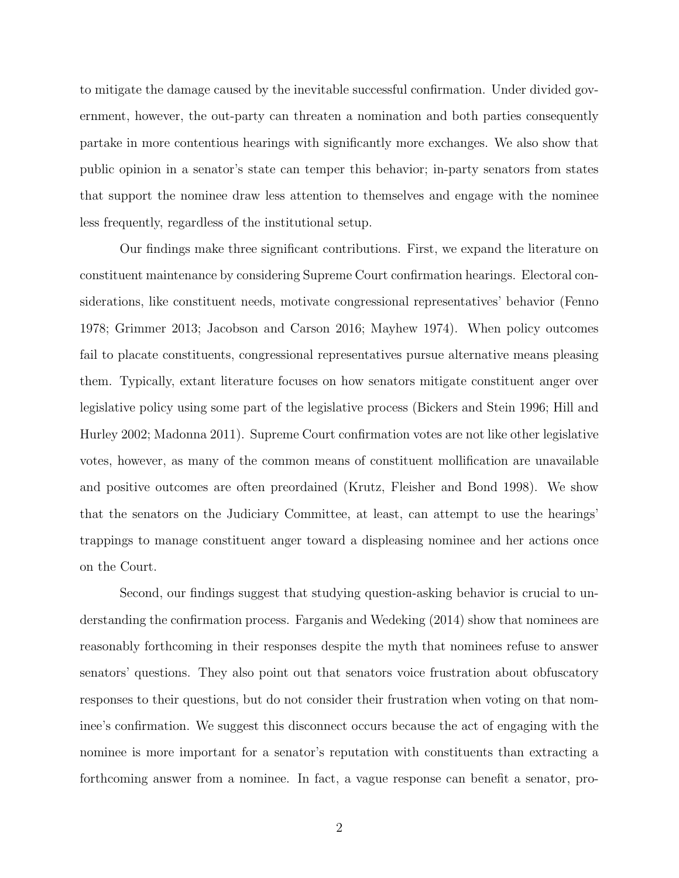to mitigate the damage caused by the inevitable successful confirmation. Under divided government, however, the out-party can threaten a nomination and both parties consequently partake in more contentious hearings with significantly more exchanges. We also show that public opinion in a senator's state can temper this behavior; in-party senators from states that support the nominee draw less attention to themselves and engage with the nominee less frequently, regardless of the institutional setup.

Our findings make three significant contributions. First, we expand the literature on constituent maintenance by considering Supreme Court confirmation hearings. Electoral considerations, like constituent needs, motivate congressional representatives' behavior [\(Fenno](#page-32-0) [1978;](#page-32-0) [Grimmer 2013;](#page-33-1) [Jacobson and Carson 2016;](#page-33-2) [Mayhew 1974\)](#page-34-1). When policy outcomes fail to placate constituents, congressional representatives pursue alternative means pleasing them. Typically, extant literature focuses on how senators mitigate constituent anger over legislative policy using some part of the legislative process [\(Bickers and Stein 1996;](#page-31-0) [Hill and](#page-33-3) [Hurley 2002;](#page-33-3) [Madonna 2011\)](#page-34-2). Supreme Court confirmation votes are not like other legislative votes, however, as many of the common means of constituent mollification are unavailable and positive outcomes are often preordained [\(Krutz, Fleisher and Bond 1998\)](#page-34-3). We show that the senators on the Judiciary Committee, at least, can attempt to use the hearings' trappings to manage constituent anger toward a displeasing nominee and her actions once on the Court.

Second, our findings suggest that studying question-asking behavior is crucial to understanding the confirmation process. [Farganis and Wedeking](#page-32-1) [\(2014\)](#page-32-1) show that nominees are reasonably forthcoming in their responses despite the myth that nominees refuse to answer senators' questions. They also point out that senators voice frustration about obfuscatory responses to their questions, but do not consider their frustration when voting on that nominee's confirmation. We suggest this disconnect occurs because the act of engaging with the nominee is more important for a senator's reputation with constituents than extracting a forthcoming answer from a nominee. In fact, a vague response can benefit a senator, pro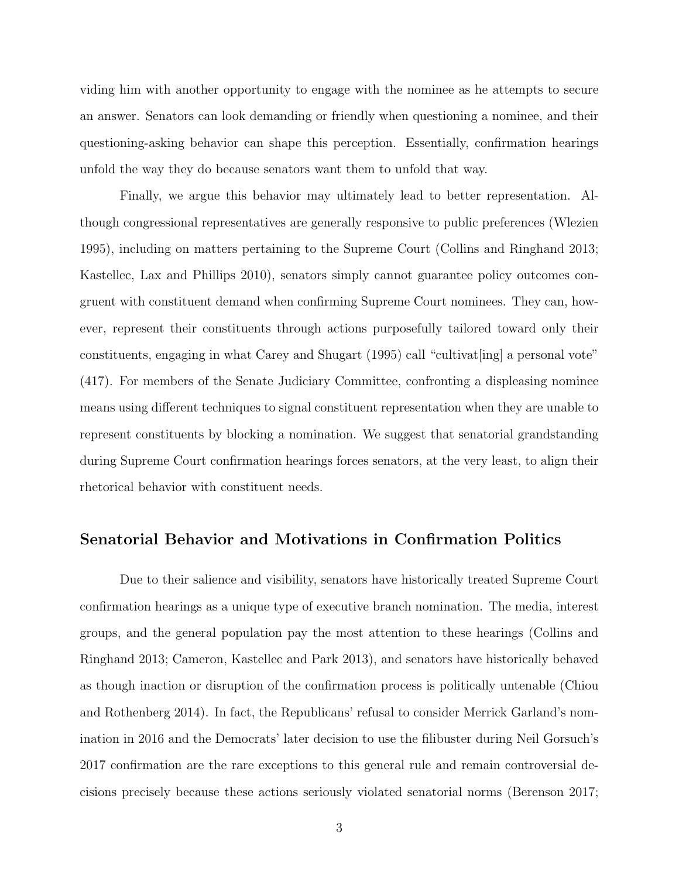viding him with another opportunity to engage with the nominee as he attempts to secure an answer. Senators can look demanding or friendly when questioning a nominee, and their questioning-asking behavior can shape this perception. Essentially, confirmation hearings unfold the way they do because senators want them to unfold that way.

Finally, we argue this behavior may ultimately lead to better representation. Although congressional representatives are generally responsive to public preferences [\(Wlezien](#page-36-1) [1995\)](#page-36-1), including on matters pertaining to the Supreme Court [\(Collins and Ringhand 2013;](#page-32-2) [Kastellec, Lax and Phillips 2010\)](#page-34-4), senators simply cannot guarantee policy outcomes congruent with constituent demand when confirming Supreme Court nominees. They can, however, represent their constituents through actions purposefully tailored toward only their constituents, engaging in what [Carey and Shugart](#page-31-1) [\(1995\)](#page-31-1) call "cultivat[ing] a personal vote" (417). For members of the Senate Judiciary Committee, confronting a displeasing nominee means using different techniques to signal constituent representation when they are unable to represent constituents by blocking a nomination. We suggest that senatorial grandstanding during Supreme Court confirmation hearings forces senators, at the very least, to align their rhetorical behavior with constituent needs.

#### Senatorial Behavior and Motivations in Confirmation Politics

Due to their salience and visibility, senators have historically treated Supreme Court confirmation hearings as a unique type of executive branch nomination. The media, interest groups, and the general population pay the most attention to these hearings [\(Collins and](#page-32-2) [Ringhand 2013;](#page-32-2) [Cameron, Kastellec and Park 2013\)](#page-31-2), and senators have historically behaved as though inaction or disruption of the confirmation process is politically untenable [\(Chiou](#page-31-3) [and Rothenberg 2014\)](#page-31-3). In fact, the Republicans' refusal to consider Merrick Garland's nomination in 2016 and the Democrats' later decision to use the filibuster during Neil Gorsuch's 2017 confirmation are the rare exceptions to this general rule and remain controversial decisions precisely because these actions seriously violated senatorial norms [\(Berenson 2017;](#page-31-4)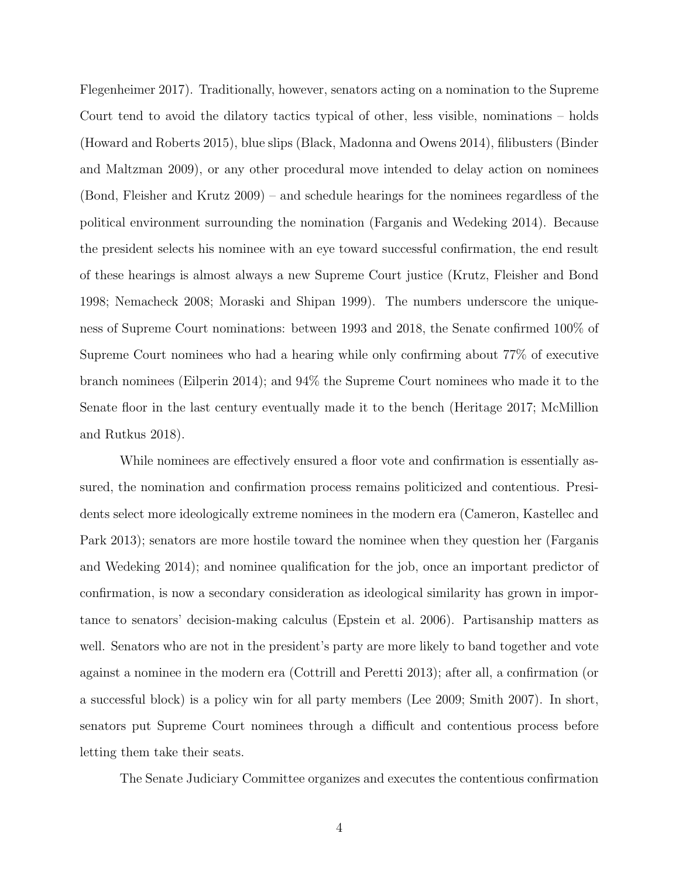[Flegenheimer 2017\)](#page-33-4). Traditionally, however, senators acting on a nomination to the Supreme Court tend to avoid the dilatory tactics typical of other, less visible, nominations – holds [\(Howard and Roberts 2015\)](#page-33-5), blue slips [\(Black, Madonna and Owens 2014\)](#page-31-5), filibusters [\(Binder](#page-31-6) [and Maltzman 2009\)](#page-31-6), or any other procedural move intended to delay action on nominees [\(Bond, Fleisher and Krutz 2009\)](#page-31-7) – and schedule hearings for the nominees regardless of the political environment surrounding the nomination [\(Farganis and Wedeking 2014\)](#page-32-1). Because the president selects his nominee with an eye toward successful confirmation, the end result of these hearings is almost always a new Supreme Court justice [\(Krutz, Fleisher and Bond](#page-34-3) [1998;](#page-34-3) [Nemacheck 2008;](#page-35-0) [Moraski and Shipan 1999\)](#page-35-1). The numbers underscore the uniqueness of Supreme Court nominations: between 1993 and 2018, the Senate confirmed 100% of Supreme Court nominees who had a hearing while only confirming about 77% of executive branch nominees [\(Eilperin 2014\)](#page-32-3); and 94% the Supreme Court nominees who made it to the Senate floor in the last century eventually made it to the bench [\(Heritage 2017;](#page-33-6) [McMillion](#page-35-2) [and Rutkus 2018\)](#page-35-2).

While nominees are effectively ensured a floor vote and confirmation is essentially assured, the nomination and confirmation process remains politicized and contentious. Presidents select more ideologically extreme nominees in the modern era [\(Cameron, Kastellec and](#page-31-2) [Park 2013\)](#page-31-2); senators are more hostile toward the nominee when they question her [\(Farganis](#page-32-1) [and Wedeking 2014\)](#page-32-1); and nominee qualification for the job, once an important predictor of confirmation, is now a secondary consideration as ideological similarity has grown in importance to senators' decision-making calculus [\(Epstein et al. 2006\)](#page-32-4). Partisanship matters as well. Senators who are not in the president's party are more likely to band together and vote against a nominee in the modern era [\(Cottrill and Peretti 2013\)](#page-32-5); after all, a confirmation (or a successful block) is a policy win for all party members [\(Lee 2009;](#page-34-5) [Smith 2007\)](#page-36-2). In short, senators put Supreme Court nominees through a difficult and contentious process before letting them take their seats.

The Senate Judiciary Committee organizes and executes the contentious confirmation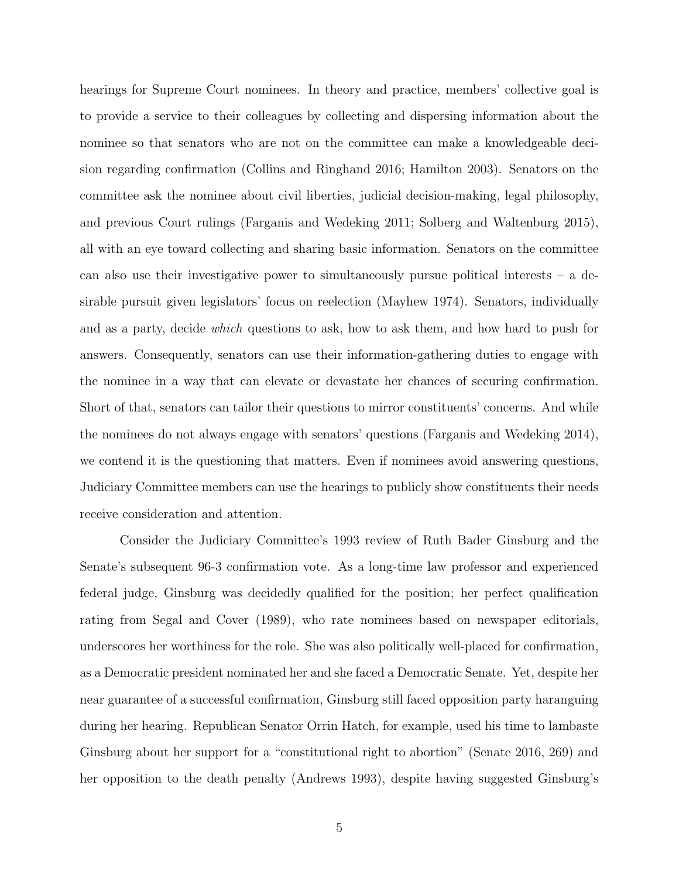hearings for Supreme Court nominees. In theory and practice, members' collective goal is to provide a service to their colleagues by collecting and dispersing information about the nominee so that senators who are not on the committee can make a knowledgeable decision regarding confirmation [\(Collins and Ringhand 2016;](#page-32-6) [Hamilton 2003\)](#page-33-7). Senators on the committee ask the nominee about civil liberties, judicial decision-making, legal philosophy, and previous Court rulings [\(Farganis and Wedeking 2011;](#page-32-7) [Solberg and Waltenburg 2015\)](#page-36-3), all with an eye toward collecting and sharing basic information. Senators on the committee can also use their investigative power to simultaneously pursue political interests – a desirable pursuit given legislators' focus on reelection [\(Mayhew 1974\)](#page-34-1). Senators, individually and as a party, decide which questions to ask, how to ask them, and how hard to push for answers. Consequently, senators can use their information-gathering duties to engage with the nominee in a way that can elevate or devastate her chances of securing confirmation. Short of that, senators can tailor their questions to mirror constituents' concerns. And while the nominees do not always engage with senators' questions [\(Farganis and Wedeking 2014\)](#page-32-1), we contend it is the questioning that matters. Even if nominees avoid answering questions, Judiciary Committee members can use the hearings to publicly show constituents their needs receive consideration and attention.

Consider the Judiciary Committee's 1993 review of Ruth Bader Ginsburg and the Senate's subsequent 96-3 confirmation vote. As a long-time law professor and experienced federal judge, Ginsburg was decidedly qualified for the position; her perfect qualification rating from [Segal and Cover](#page-35-3) [\(1989\)](#page-35-3), who rate nominees based on newspaper editorials, underscores her worthiness for the role. She was also politically well-placed for confirmation, as a Democratic president nominated her and she faced a Democratic Senate. Yet, despite her near guarantee of a successful confirmation, Ginsburg still faced opposition party haranguing during her hearing. Republican Senator Orrin Hatch, for example, used his time to lambaste Ginsburg about her support for a "constitutional right to abortion" [\(Senate 2016,](#page-35-4) 269) and her opposition to the death penalty [\(Andrews 1993\)](#page-31-8), despite having suggested Ginsburg's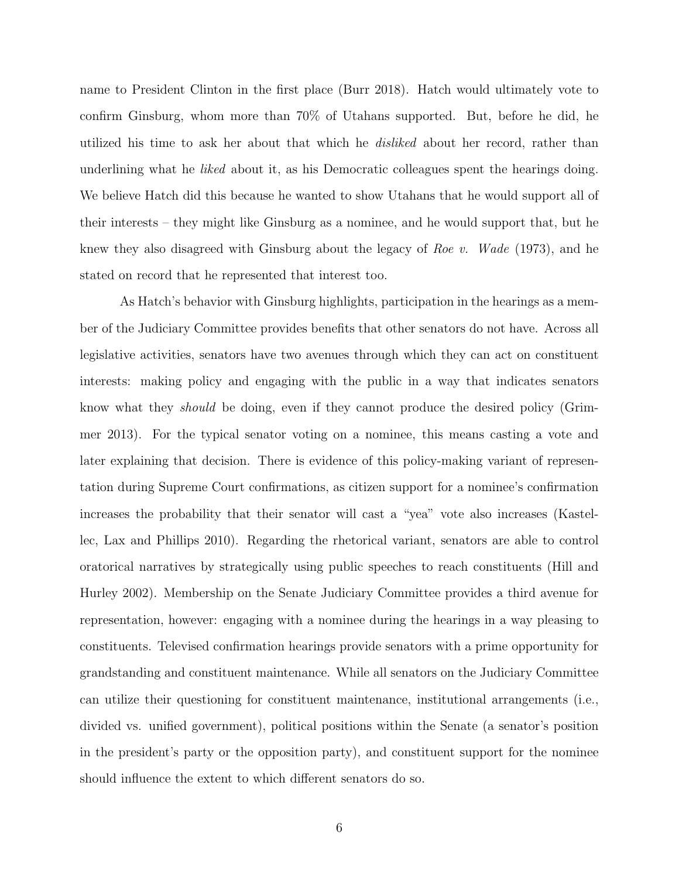name to President Clinton in the first place [\(Burr 2018\)](#page-31-9). Hatch would ultimately vote to confirm Ginsburg, whom more than 70% of Utahans supported. But, before he did, he utilized his time to ask her about that which he *disliked* about her record, rather than underlining what he *liked* about it, as his Democratic colleagues spent the hearings doing. We believe Hatch did this because he wanted to show Utahans that he would support all of their interests – they might like Ginsburg as a nominee, and he would support that, but he knew they also disagreed with Ginsburg about the legacy of Roe v. Wade (1973), and he stated on record that he represented that interest too.

As Hatch's behavior with Ginsburg highlights, participation in the hearings as a member of the Judiciary Committee provides benefits that other senators do not have. Across all legislative activities, senators have two avenues through which they can act on constituent interests: making policy and engaging with the public in a way that indicates senators know what they should be doing, even if they cannot produce the desired policy [\(Grim](#page-33-1)[mer 2013\)](#page-33-1). For the typical senator voting on a nominee, this means casting a vote and later explaining that decision. There is evidence of this policy-making variant of representation during Supreme Court confirmations, as citizen support for a nominee's confirmation increases the probability that their senator will cast a "yea" vote also increases [\(Kastel](#page-34-4)[lec, Lax and Phillips 2010\)](#page-34-4). Regarding the rhetorical variant, senators are able to control oratorical narratives by strategically using public speeches to reach constituents [\(Hill and](#page-33-3) [Hurley 2002\)](#page-33-3). Membership on the Senate Judiciary Committee provides a third avenue for representation, however: engaging with a nominee during the hearings in a way pleasing to constituents. Televised confirmation hearings provide senators with a prime opportunity for grandstanding and constituent maintenance. While all senators on the Judiciary Committee can utilize their questioning for constituent maintenance, institutional arrangements (i.e., divided vs. unified government), political positions within the Senate (a senator's position in the president's party or the opposition party), and constituent support for the nominee should influence the extent to which different senators do so.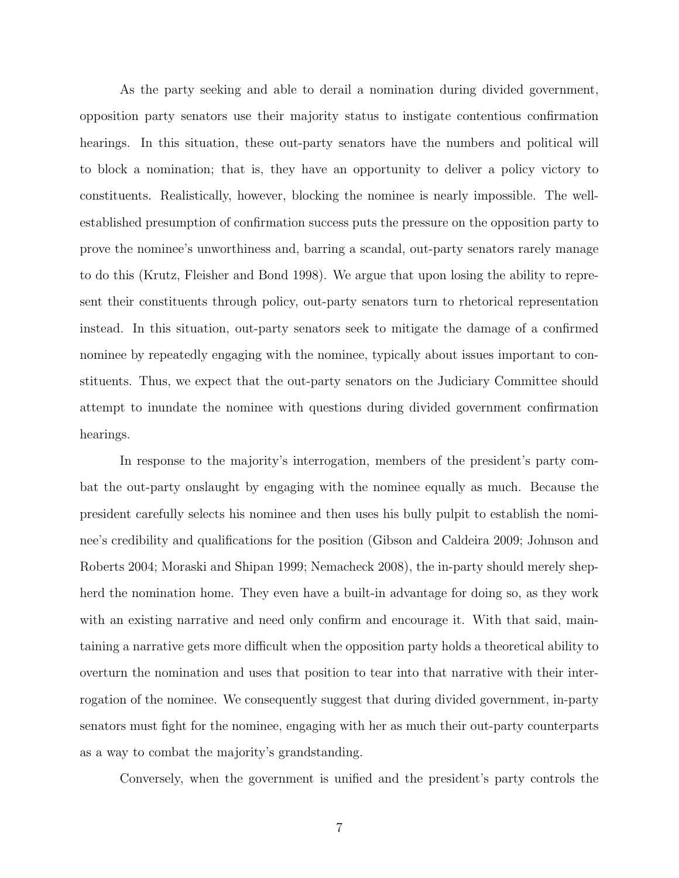As the party seeking and able to derail a nomination during divided government, opposition party senators use their majority status to instigate contentious confirmation hearings. In this situation, these out-party senators have the numbers and political will to block a nomination; that is, they have an opportunity to deliver a policy victory to constituents. Realistically, however, blocking the nominee is nearly impossible. The wellestablished presumption of confirmation success puts the pressure on the opposition party to prove the nominee's unworthiness and, barring a scandal, out-party senators rarely manage to do this [\(Krutz, Fleisher and Bond 1998\)](#page-34-3). We argue that upon losing the ability to represent their constituents through policy, out-party senators turn to rhetorical representation instead. In this situation, out-party senators seek to mitigate the damage of a confirmed nominee by repeatedly engaging with the nominee, typically about issues important to constituents. Thus, we expect that the out-party senators on the Judiciary Committee should attempt to inundate the nominee with questions during divided government confirmation hearings.

In response to the majority's interrogation, members of the president's party combat the out-party onslaught by engaging with the nominee equally as much. Because the president carefully selects his nominee and then uses his bully pulpit to establish the nominee's credibility and qualifications for the position [\(Gibson and Caldeira 2009;](#page-33-8) [Johnson and](#page-33-9) [Roberts 2004;](#page-33-9) [Moraski and Shipan 1999;](#page-35-1) [Nemacheck 2008\)](#page-35-0), the in-party should merely shepherd the nomination home. They even have a built-in advantage for doing so, as they work with an existing narrative and need only confirm and encourage it. With that said, maintaining a narrative gets more difficult when the opposition party holds a theoretical ability to overturn the nomination and uses that position to tear into that narrative with their interrogation of the nominee. We consequently suggest that during divided government, in-party senators must fight for the nominee, engaging with her as much their out-party counterparts as a way to combat the majority's grandstanding.

Conversely, when the government is unified and the president's party controls the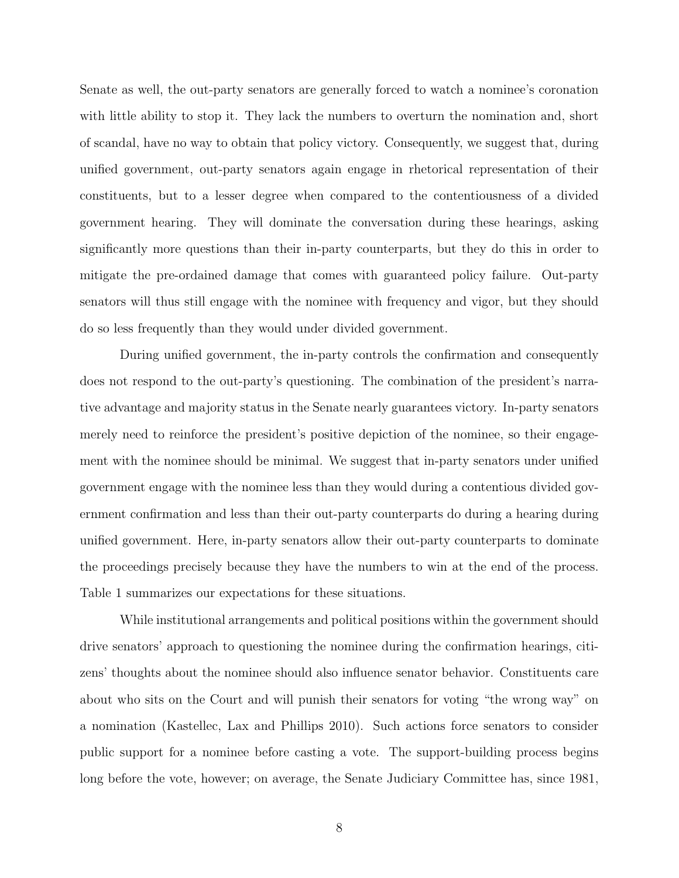Senate as well, the out-party senators are generally forced to watch a nominee's coronation with little ability to stop it. They lack the numbers to overturn the nomination and, short of scandal, have no way to obtain that policy victory. Consequently, we suggest that, during unified government, out-party senators again engage in rhetorical representation of their constituents, but to a lesser degree when compared to the contentiousness of a divided government hearing. They will dominate the conversation during these hearings, asking significantly more questions than their in-party counterparts, but they do this in order to mitigate the pre-ordained damage that comes with guaranteed policy failure. Out-party senators will thus still engage with the nominee with frequency and vigor, but they should do so less frequently than they would under divided government.

During unified government, the in-party controls the confirmation and consequently does not respond to the out-party's questioning. The combination of the president's narrative advantage and majority status in the Senate nearly guarantees victory. In-party senators merely need to reinforce the president's positive depiction of the nominee, so their engagement with the nominee should be minimal. We suggest that in-party senators under unified government engage with the nominee less than they would during a contentious divided government confirmation and less than their out-party counterparts do during a hearing during unified government. Here, in-party senators allow their out-party counterparts to dominate the proceedings precisely because they have the numbers to win at the end of the process. Table [1](#page-9-0) summarizes our expectations for these situations.

While institutional arrangements and political positions within the government should drive senators' approach to questioning the nominee during the confirmation hearings, citizens' thoughts about the nominee should also influence senator behavior. Constituents care about who sits on the Court and will punish their senators for voting "the wrong way" on a nomination [\(Kastellec, Lax and Phillips 2010\)](#page-34-4). Such actions force senators to consider public support for a nominee before casting a vote. The support-building process begins long before the vote, however; on average, the Senate Judiciary Committee has, since 1981,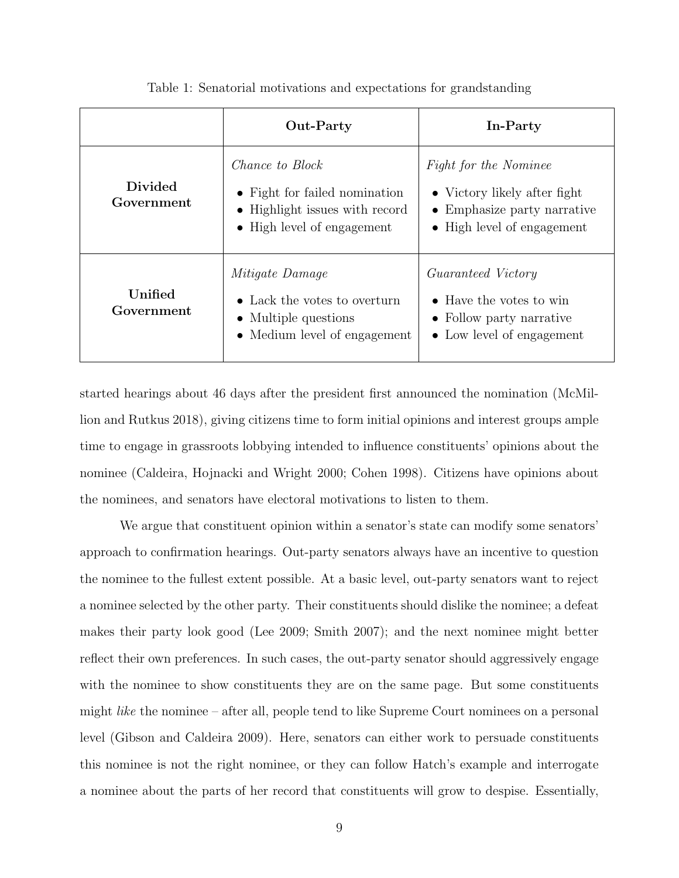<span id="page-9-0"></span>

|                              | Out-Party                                                                                                               | In-Party                                                                                                                          |
|------------------------------|-------------------------------------------------------------------------------------------------------------------------|-----------------------------------------------------------------------------------------------------------------------------------|
| <b>Divided</b><br>Government | <i>Chance to Block</i><br>• Fight for failed nomination<br>• Highlight issues with record<br>• High level of engagement | <i>Fight for the Nominee</i><br>$\bullet$ Victory likely after fight<br>• Emphasize party narrative<br>• High level of engagement |
| Unified<br>Government        | <i>Mitigate Damage</i><br>• Lack the votes to overturn<br>• Multiple questions<br>• Medium level of engagement          | <i>Guaranteed Victory</i><br>• Have the votes to win<br>• Follow party narrative<br>• Low level of engagement                     |

Table 1: Senatorial motivations and expectations for grandstanding

started hearings about 46 days after the president first announced the nomination [\(McMil](#page-35-2)[lion and Rutkus 2018\)](#page-35-2), giving citizens time to form initial opinions and interest groups ample time to engage in grassroots lobbying intended to influence constituents' opinions about the nominee [\(Caldeira, Hojnacki and Wright 2000;](#page-31-10) [Cohen 1998\)](#page-32-8). Citizens have opinions about the nominees, and senators have electoral motivations to listen to them.

We argue that constituent opinion within a senator's state can modify some senators' approach to confirmation hearings. Out-party senators always have an incentive to question the nominee to the fullest extent possible. At a basic level, out-party senators want to reject a nominee selected by the other party. Their constituents should dislike the nominee; a defeat makes their party look good [\(Lee 2009;](#page-34-5) [Smith 2007\)](#page-36-2); and the next nominee might better reflect their own preferences. In such cases, the out-party senator should aggressively engage with the nominee to show constituents they are on the same page. But some constituents might like the nominee – after all, people tend to like Supreme Court nominees on a personal level [\(Gibson and Caldeira 2009\)](#page-33-8). Here, senators can either work to persuade constituents this nominee is not the right nominee, or they can follow Hatch's example and interrogate a nominee about the parts of her record that constituents will grow to despise. Essentially,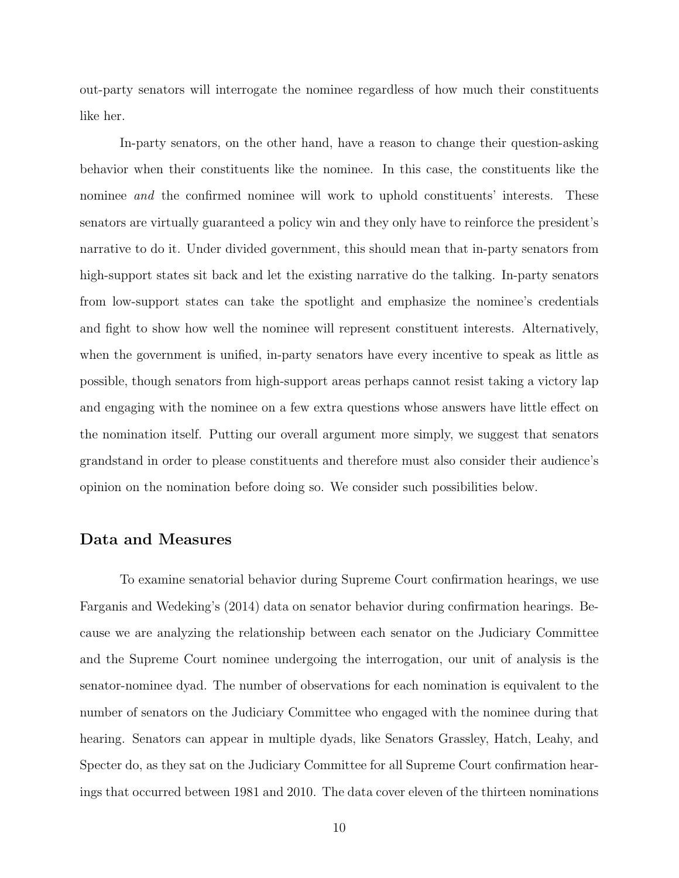out-party senators will interrogate the nominee regardless of how much their constituents like her.

In-party senators, on the other hand, have a reason to change their question-asking behavior when their constituents like the nominee. In this case, the constituents like the nominee and the confirmed nominee will work to uphold constituents' interests. These senators are virtually guaranteed a policy win and they only have to reinforce the president's narrative to do it. Under divided government, this should mean that in-party senators from high-support states sit back and let the existing narrative do the talking. In-party senators from low-support states can take the spotlight and emphasize the nominee's credentials and fight to show how well the nominee will represent constituent interests. Alternatively, when the government is unified, in-party senators have every incentive to speak as little as possible, though senators from high-support areas perhaps cannot resist taking a victory lap and engaging with the nominee on a few extra questions whose answers have little effect on the nomination itself. Putting our overall argument more simply, we suggest that senators grandstand in order to please constituents and therefore must also consider their audience's opinion on the nomination before doing so. We consider such possibilities below.

#### Data and Measures

To examine senatorial behavior during Supreme Court confirmation hearings, we use [Farganis and Wedeking'](#page-32-1)s [\(2014\)](#page-32-1) data on senator behavior during confirmation hearings. Because we are analyzing the relationship between each senator on the Judiciary Committee and the Supreme Court nominee undergoing the interrogation, our unit of analysis is the senator-nominee dyad. The number of observations for each nomination is equivalent to the number of senators on the Judiciary Committee who engaged with the nominee during that hearing. Senators can appear in multiple dyads, like Senators Grassley, Hatch, Leahy, and Specter do, as they sat on the Judiciary Committee for all Supreme Court confirmation hearings that occurred between 1981 and 2010. The data cover eleven of the thirteen nominations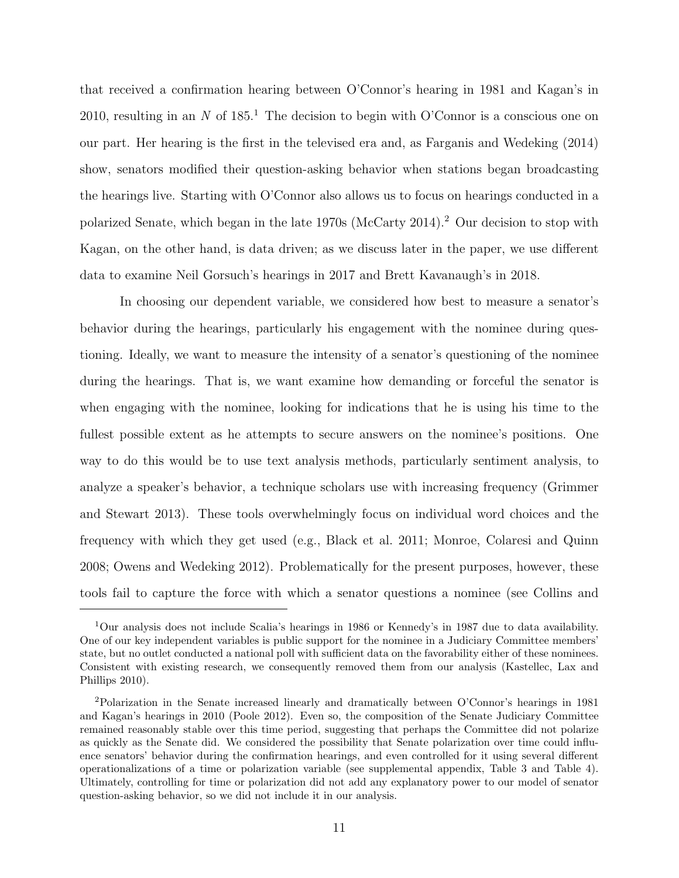that received a confirmation hearing between O'Connor's hearing in 1981 and Kagan's in 20[1](#page-0-0)0, resulting in an N of  $185<sup>1</sup>$ . The decision to begin with O'Connor is a conscious one on our part. Her hearing is the first in the televised era and, as [Farganis and Wedeking](#page-32-1) [\(2014\)](#page-32-1) show, senators modified their question-asking behavior when stations began broadcasting the hearings live. Starting with O'Connor also allows us to focus on hearings conducted in a polarized Senate, which began in the late 1970s [\(McCarty 2014\)](#page-34-6).[2](#page-0-0) Our decision to stop with Kagan, on the other hand, is data driven; as we discuss later in the paper, we use different data to examine Neil Gorsuch's hearings in 2017 and Brett Kavanaugh's in 2018.

In choosing our dependent variable, we considered how best to measure a senator's behavior during the hearings, particularly his engagement with the nominee during questioning. Ideally, we want to measure the intensity of a senator's questioning of the nominee during the hearings. That is, we want examine how demanding or forceful the senator is when engaging with the nominee, looking for indications that he is using his time to the fullest possible extent as he attempts to secure answers on the nominee's positions. One way to do this would be to use text analysis methods, particularly sentiment analysis, to analyze a speaker's behavior, a technique scholars use with increasing frequency [\(Grimmer](#page-33-10) [and Stewart 2013\)](#page-33-10). These tools overwhelmingly focus on individual word choices and the frequency with which they get used (e.g., [Black et al. 2011;](#page-31-11) [Monroe, Colaresi and Quinn](#page-35-5) [2008;](#page-35-5) [Owens and Wedeking 2012\)](#page-35-6). Problematically for the present purposes, however, these tools fail to capture the force with which a senator questions a nominee (see [Collins and](#page-32-2)

<sup>1</sup>[Our analysis does not include Scalia's hearings in 1986 or Kennedy's in 1987 due to data availability.](#page-32-2) [One of our key independent variables is public support for the nominee in a Judiciary Committee members'](#page-32-2) [state, but no outlet conducted a national poll with sufficient data on the favorability either of these nominees.](#page-32-2) [Consistent with existing research, we consequently removed them from our analysis \(Kastellec, Lax and](#page-32-2) [Phillips 2010\).](#page-32-2)

<sup>2</sup>[Polarization in the Senate increased linearly and dramatically between O'Connor's hearings in 1981](#page-32-2) [and Kagan's hearings in 2010 \(Poole 2012\). Even so, the composition of the Senate Judiciary Committee](#page-32-2) [remained reasonably stable over this time period, suggesting that perhaps the Committee did not polarize](#page-32-2) [as quickly as the Senate did. We considered the possibility that Senate polarization over time could influ](#page-32-2)[ence senators' behavior during the confirmation hearings, and even controlled for it using several different](#page-32-2) [operationalizations of a time or polarization variable \(see supplemental appendix, Table 3 and Table 4\).](#page-32-2) [Ultimately, controlling for time or polarization did not add any explanatory power to our model of senator](#page-32-2) [question-asking behavior, so we did not include it in our analysis.](#page-32-2)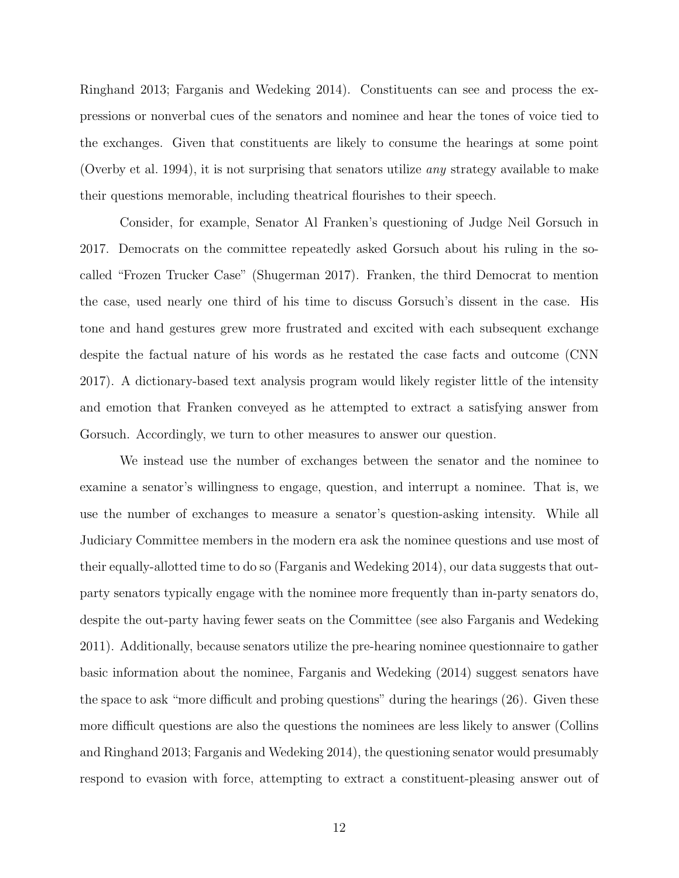[Ringhand 2013;](#page-32-2) [Farganis and Wedeking 2014\)](#page-32-1). Constituents can see and process the expressions or nonverbal cues of the senators and nominee and hear the tones of voice tied to the exchanges. Given that constituents are likely to consume the hearings at some point [\(Overby et al. 1994\)](#page-35-8), it is not surprising that senators utilize any strategy available to make their questions memorable, including theatrical flourishes to their speech.

Consider, for example, Senator Al Franken's questioning of Judge Neil Gorsuch in 2017. Democrats on the committee repeatedly asked Gorsuch about his ruling in the socalled "Frozen Trucker Case" [\(Shugerman 2017\)](#page-36-4). Franken, the third Democrat to mention the case, used nearly one third of his time to discuss Gorsuch's dissent in the case. His tone and hand gestures grew more frustrated and excited with each subsequent exchange despite the factual nature of his words as he restated the case facts and outcome [\(CNN](#page-32-9) [2017\)](#page-32-9). A dictionary-based text analysis program would likely register little of the intensity and emotion that Franken conveyed as he attempted to extract a satisfying answer from Gorsuch. Accordingly, we turn to other measures to answer our question.

We instead use the number of exchanges between the senator and the nominee to examine a senator's willingness to engage, question, and interrupt a nominee. That is, we use the number of exchanges to measure a senator's question-asking intensity. While all Judiciary Committee members in the modern era ask the nominee questions and use most of their equally-allotted time to do so [\(Farganis and Wedeking 2014\)](#page-32-1), our data suggests that outparty senators typically engage with the nominee more frequently than in-party senators do, despite the out-party having fewer seats on the Committee (see also [Farganis and Wedeking](#page-32-7) [2011\)](#page-32-7). Additionally, because senators utilize the pre-hearing nominee questionnaire to gather basic information about the nominee, Farganis and Wedeking (2014) suggest senators have the space to ask "more difficult and probing questions" during the hearings (26). Given these more difficult questions are also the questions the nominees are less likely to answer [\(Collins](#page-32-2) [and Ringhand 2013;](#page-32-2) [Farganis and Wedeking 2014\)](#page-32-1), the questioning senator would presumably respond to evasion with force, attempting to extract a constituent-pleasing answer out of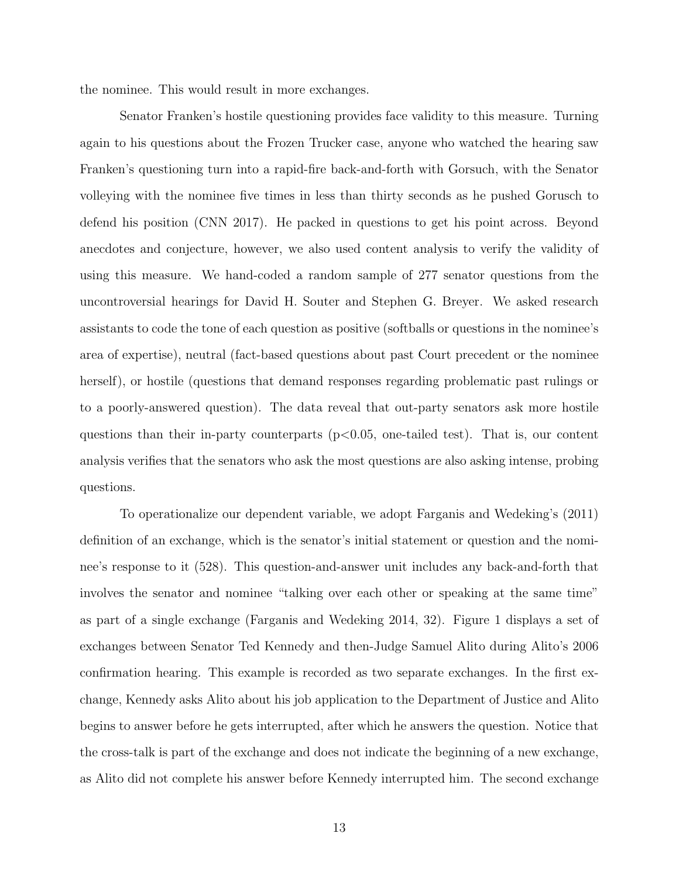the nominee. This would result in more exchanges.

Senator Franken's hostile questioning provides face validity to this measure. Turning again to his questions about the Frozen Trucker case, anyone who watched the hearing saw Franken's questioning turn into a rapid-fire back-and-forth with Gorsuch, with the Senator volleying with the nominee five times in less than thirty seconds as he pushed Gorusch to defend his position [\(CNN 2017\)](#page-32-9). He packed in questions to get his point across. Beyond anecdotes and conjecture, however, we also used content analysis to verify the validity of using this measure. We hand-coded a random sample of 277 senator questions from the uncontroversial hearings for David H. Souter and Stephen G. Breyer. We asked research assistants to code the tone of each question as positive (softballs or questions in the nominee's area of expertise), neutral (fact-based questions about past Court precedent or the nominee herself), or hostile (questions that demand responses regarding problematic past rulings or to a poorly-answered question). The data reveal that out-party senators ask more hostile questions than their in-party counterparts  $(p<0.05$ , one-tailed test). That is, our content analysis verifies that the senators who ask the most questions are also asking intense, probing questions.

To operationalize our dependent variable, we adopt [Farganis and Wedeking'](#page-32-7)s [\(2011\)](#page-32-7) definition of an exchange, which is the senator's initial statement or question and the nominee's response to it (528). This question-and-answer unit includes any back-and-forth that involves the senator and nominee "talking over each other or speaking at the same time" as part of a single exchange [\(Farganis and Wedeking 2014,](#page-32-1) 32). Figure 1 displays a set of exchanges between Senator Ted Kennedy and then-Judge Samuel Alito during Alito's 2006 confirmation hearing. This example is recorded as two separate exchanges. In the first exchange, Kennedy asks Alito about his job application to the Department of Justice and Alito begins to answer before he gets interrupted, after which he answers the question. Notice that the cross-talk is part of the exchange and does not indicate the beginning of a new exchange, as Alito did not complete his answer before Kennedy interrupted him. The second exchange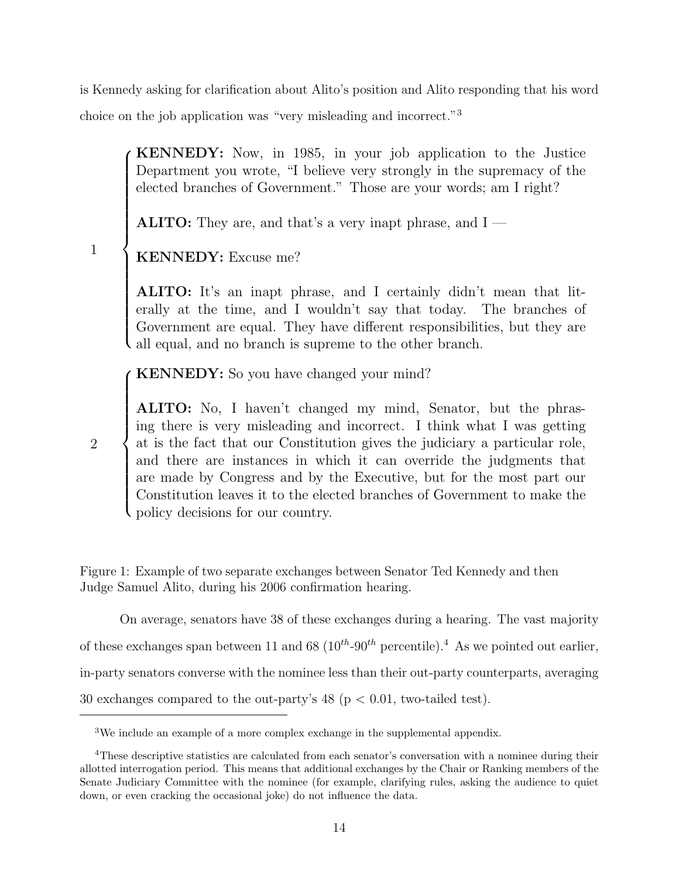is Kennedy asking for clarification about Alito's position and Alito responding that his word

choice on the job application was "very misleading and incorrect."<sup>[3](#page-0-0)</sup>

KENNEDY: Now, in 1985, in your job application to the Justice Department you wrote, "I believe very strongly in the supremacy of the elected branches of Government." Those are your words; am I right?

ALITO: They are, and that's a very inapt phrase, and I —

|<br>|<br>|<br>|<br>|<br>| >>>>>>>>>>>>>>>>>: KENNEDY: Excuse me?

1

2

 $\sqrt{ }$ 

ALITO: It's an inapt phrase, and I certainly didn't mean that literally at the time, and I wouldn't say that today. The branches of Government are equal. They have different responsibilities, but they are all equal, and no branch is supreme to the other branch.

 $\sqrt{ }$ KENNEDY: So you have changed your mind?

**ALITO:** No, I haven't changed my mind, Senator, but the phrasing there is very misleading and incorrect. I think what I was getting at is the feet that are Constitution gives the indiciant a particular relation and there are instances in wh<br>are made by Congress and by t<br>Constitution leaves it to the elec-<br>policy decisions for our country. ALITO: No, I haven't changed my mind, Senator, but the phrasat is the fact that our Constitution gives the judiciary a particular role, and there are instances in which it can override the judgments that are made by Congress and by the Executive, but for the most part our Constitution leaves it to the elected branches of Government to make the

Figure 1: Example of two separate exchanges between Senator Ted Kennedy and then Judge Samuel Alito, during his 2006 confirmation hearing.

23 30 exchanges compared to the out-party's 48 (p < 0.01, two-tailed test). On average, senators have 38 of these exchanges during a hearing. The vast majority of these exchanges span between 11 and 68 ( $10^{th}$ -90<sup>th</sup> percentile).<sup>[4](#page-0-0)</sup> As we pointed out earlier, in-party senators converse with the nominee less than their out-party counterparts, averaging

<sup>3</sup>We include an example of a more complex exchange in the supplemental appendix.

<sup>4</sup>These descriptive statistics are calculated from each senator's conversation with a nominee during their allotted interrogation period. This means that additional exchanges by the Chair or Ranking members of the Senate Judiciary Committee with the nominee (for example, clarifying rules, asking the audience to quiet down, or even cracking the occasional joke) do not influence the data.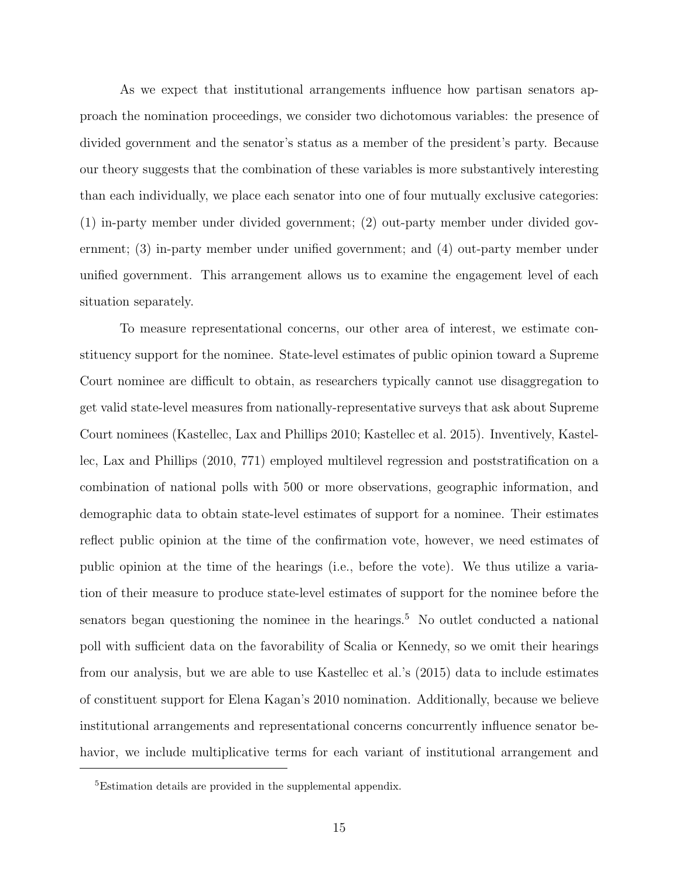As we expect that institutional arrangements influence how partisan senators approach the nomination proceedings, we consider two dichotomous variables: the presence of divided government and the senator's status as a member of the president's party. Because our theory suggests that the combination of these variables is more substantively interesting than each individually, we place each senator into one of four mutually exclusive categories: (1) in-party member under divided government; (2) out-party member under divided government; (3) in-party member under unified government; and (4) out-party member under unified government. This arrangement allows us to examine the engagement level of each situation separately.

To measure representational concerns, our other area of interest, we estimate constituency support for the nominee. State-level estimates of public opinion toward a Supreme Court nominee are difficult to obtain, as researchers typically cannot use disaggregation to get valid state-level measures from nationally-representative surveys that ask about Supreme Court nominees [\(Kastellec, Lax and Phillips 2010;](#page-34-4) [Kastellec et al. 2015\)](#page-34-7). Inventively, [Kastel](#page-34-4)[lec, Lax and Phillips](#page-34-4) [\(2010,](#page-34-4) 771) employed multilevel regression and poststratification on a combination of national polls with 500 or more observations, geographic information, and demographic data to obtain state-level estimates of support for a nominee. Their estimates reflect public opinion at the time of the confirmation vote, however, we need estimates of public opinion at the time of the hearings (i.e., before the vote). We thus utilize a variation of their measure to produce state-level estimates of support for the nominee before the senators began questioning the nominee in the hearings.<sup>[5](#page-0-0)</sup> No outlet conducted a national poll with sufficient data on the favorability of Scalia or Kennedy, so we omit their hearings from our analysis, but we are able to use [Kastellec et al.'](#page-34-7)s [\(2015\)](#page-34-7) data to include estimates of constituent support for Elena Kagan's 2010 nomination. Additionally, because we believe institutional arrangements and representational concerns concurrently influence senator behavior, we include multiplicative terms for each variant of institutional arrangement and

<sup>5</sup>Estimation details are provided in the supplemental appendix.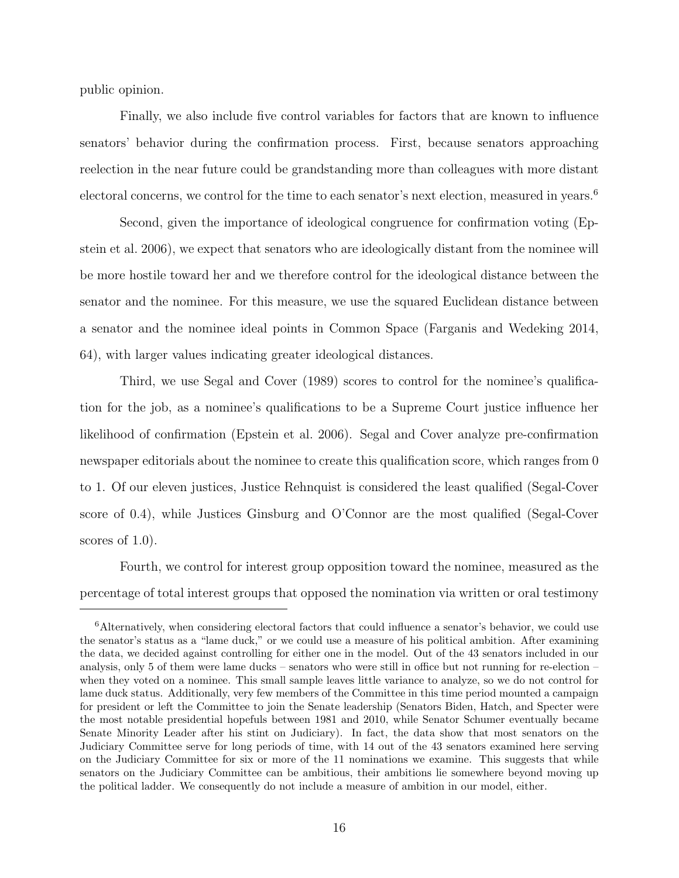public opinion.

Finally, we also include five control variables for factors that are known to influence senators' behavior during the confirmation process. First, because senators approaching reelection in the near future could be grandstanding more than colleagues with more distant electoral concerns, we control for the time to each senator's next election, measured in years.<sup>[6](#page-0-0)</sup>

Second, given the importance of ideological congruence for confirmation voting [\(Ep](#page-32-4)[stein et al. 2006\)](#page-32-4), we expect that senators who are ideologically distant from the nominee will be more hostile toward her and we therefore control for the ideological distance between the senator and the nominee. For this measure, we use the squared Euclidean distance between a senator and the nominee ideal points in Common Space [\(Farganis and Wedeking 2014,](#page-32-1) 64), with larger values indicating greater ideological distances.

Third, we use [Segal and Cover](#page-35-3) [\(1989\)](#page-35-3) scores to control for the nominee's qualification for the job, as a nominee's qualifications to be a Supreme Court justice influence her likelihood of confirmation [\(Epstein et al. 2006\)](#page-32-4). Segal and Cover analyze pre-confirmation newspaper editorials about the nominee to create this qualification score, which ranges from 0 to 1. Of our eleven justices, Justice Rehnquist is considered the least qualified (Segal-Cover score of 0.4), while Justices Ginsburg and O'Connor are the most qualified (Segal-Cover scores of 1.0).

Fourth, we control for interest group opposition toward the nominee, measured as the percentage of total interest groups that opposed the nomination via written or oral testimony

<sup>&</sup>lt;sup>6</sup>Alternatively, when considering electoral factors that could influence a senator's behavior, we could use the senator's status as a "lame duck," or we could use a measure of his political ambition. After examining the data, we decided against controlling for either one in the model. Out of the 43 senators included in our analysis, only 5 of them were lame ducks – senators who were still in office but not running for re-election – when they voted on a nominee. This small sample leaves little variance to analyze, so we do not control for lame duck status. Additionally, very few members of the Committee in this time period mounted a campaign for president or left the Committee to join the Senate leadership (Senators Biden, Hatch, and Specter were the most notable presidential hopefuls between 1981 and 2010, while Senator Schumer eventually became Senate Minority Leader after his stint on Judiciary). In fact, the data show that most senators on the Judiciary Committee serve for long periods of time, with 14 out of the 43 senators examined here serving on the Judiciary Committee for six or more of the 11 nominations we examine. This suggests that while senators on the Judiciary Committee can be ambitious, their ambitions lie somewhere beyond moving up the political ladder. We consequently do not include a measure of ambition in our model, either.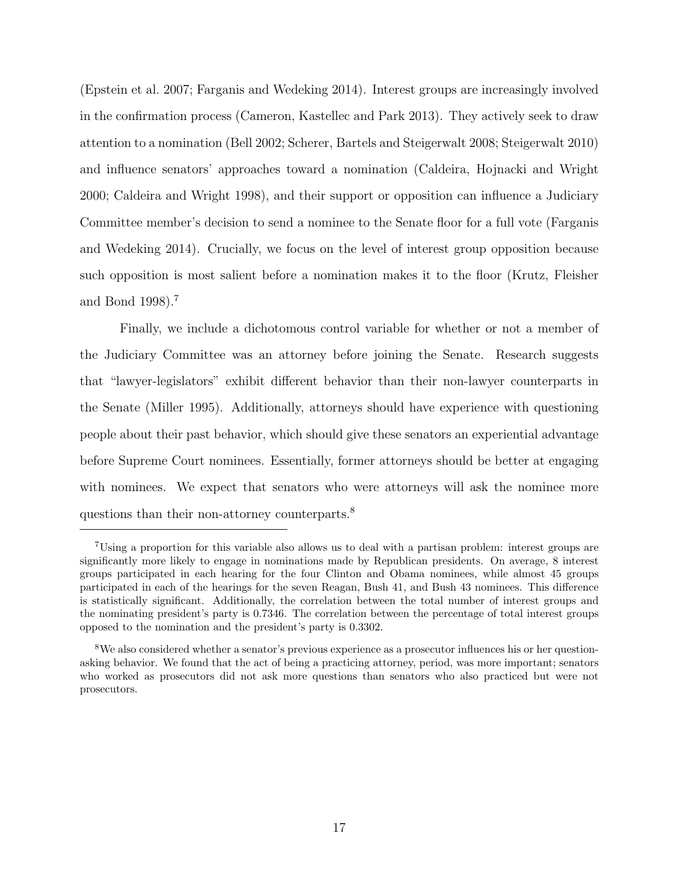[\(Epstein et al. 2007;](#page-32-10) [Farganis and Wedeking 2014\)](#page-32-1). Interest groups are increasingly involved in the confirmation process [\(Cameron, Kastellec and Park 2013\)](#page-31-2). They actively seek to draw attention to a nomination [\(Bell 2002;](#page-31-12) [Scherer, Bartels and Steigerwalt 2008;](#page-35-9) [Steigerwalt 2010\)](#page-36-5) and influence senators' approaches toward a nomination [\(Caldeira, Hojnacki and Wright](#page-31-10) [2000;](#page-31-10) [Caldeira and Wright 1998\)](#page-31-13), and their support or opposition can influence a Judiciary Committee member's decision to send a nominee to the Senate floor for a full vote [\(Farganis](#page-32-1) [and Wedeking 2014\)](#page-32-1). Crucially, we focus on the level of interest group opposition because such opposition is most salient before a nomination makes it to the floor [\(Krutz, Fleisher](#page-34-3) [and Bond 1998\)](#page-34-3).[7](#page-0-0)

Finally, we include a dichotomous control variable for whether or not a member of the Judiciary Committee was an attorney before joining the Senate. Research suggests that "lawyer-legislators" exhibit different behavior than their non-lawyer counterparts in the Senate [\(Miller 1995\)](#page-35-10). Additionally, attorneys should have experience with questioning people about their past behavior, which should give these senators an experiential advantage before Supreme Court nominees. Essentially, former attorneys should be better at engaging with nominees. We expect that senators who were attorneys will ask the nominee more questions than their non-attorney counterparts.[8](#page-0-0)

<sup>7</sup>Using a proportion for this variable also allows us to deal with a partisan problem: interest groups are significantly more likely to engage in nominations made by Republican presidents. On average, 8 interest groups participated in each hearing for the four Clinton and Obama nominees, while almost 45 groups participated in each of the hearings for the seven Reagan, Bush 41, and Bush 43 nominees. This difference is statistically significant. Additionally, the correlation between the total number of interest groups and the nominating president's party is 0.7346. The correlation between the percentage of total interest groups opposed to the nomination and the president's party is 0.3302.

<sup>&</sup>lt;sup>8</sup>We also considered whether a senator's previous experience as a prosecutor influences his or her questionasking behavior. We found that the act of being a practicing attorney, period, was more important; senators who worked as prosecutors did not ask more questions than senators who also practiced but were not prosecutors.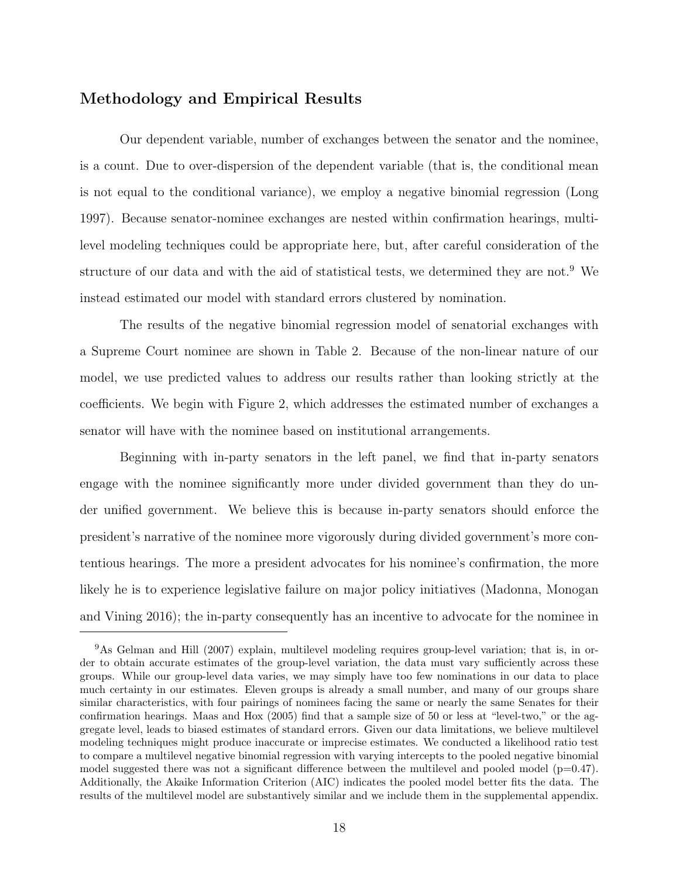#### Methodology and Empirical Results

Our dependent variable, number of exchanges between the senator and the nominee, is a count. Due to over-dispersion of the dependent variable (that is, the conditional mean is not equal to the conditional variance), we employ a negative binomial regression [\(Long](#page-34-8) [1997\)](#page-34-8). Because senator-nominee exchanges are nested within confirmation hearings, multilevel modeling techniques could be appropriate here, but, after careful consideration of the structure of our data and with the aid of statistical tests, we determined they are not.[9](#page-0-0) We instead estimated our model with standard errors clustered by nomination.

The results of the negative binomial regression model of senatorial exchanges with a Supreme Court nominee are shown in Table [2.](#page-19-0) Because of the non-linear nature of our model, we use predicted values to address our results rather than looking strictly at the coefficients. We begin with Figure 2, which addresses the estimated number of exchanges a senator will have with the nominee based on institutional arrangements.

Beginning with in-party senators in the left panel, we find that in-party senators engage with the nominee significantly more under divided government than they do under unified government. We believe this is because in-party senators should enforce the president's narrative of the nominee more vigorously during divided government's more contentious hearings. The more a president advocates for his nominee's confirmation, the more likely he is to experience legislative failure on major policy initiatives [\(Madonna, Monogan](#page-34-9) [and Vining 2016\)](#page-34-9); the in-party consequently has an incentive to advocate for the nominee in

<sup>&</sup>lt;sup>9</sup>As [Gelman and Hill](#page-33-11) [\(2007\)](#page-33-11) explain, multilevel modeling requires group-level variation; that is, in order to obtain accurate estimates of the group-level variation, the data must vary sufficiently across these groups. While our group-level data varies, we may simply have too few nominations in our data to place much certainty in our estimates. Eleven groups is already a small number, and many of our groups share similar characteristics, with four pairings of nominees facing the same or nearly the same Senates for their confirmation hearings. [Maas and Hox](#page-34-10) [\(2005\)](#page-34-10) find that a sample size of 50 or less at "level-two," or the aggregate level, leads to biased estimates of standard errors. Given our data limitations, we believe multilevel modeling techniques might produce inaccurate or imprecise estimates. We conducted a likelihood ratio test to compare a multilevel negative binomial regression with varying intercepts to the pooled negative binomial model suggested there was not a significant difference between the multilevel and pooled model  $(p=0.47)$ . Additionally, the Akaike Information Criterion (AIC) indicates the pooled model better fits the data. The results of the multilevel model are substantively similar and we include them in the supplemental appendix.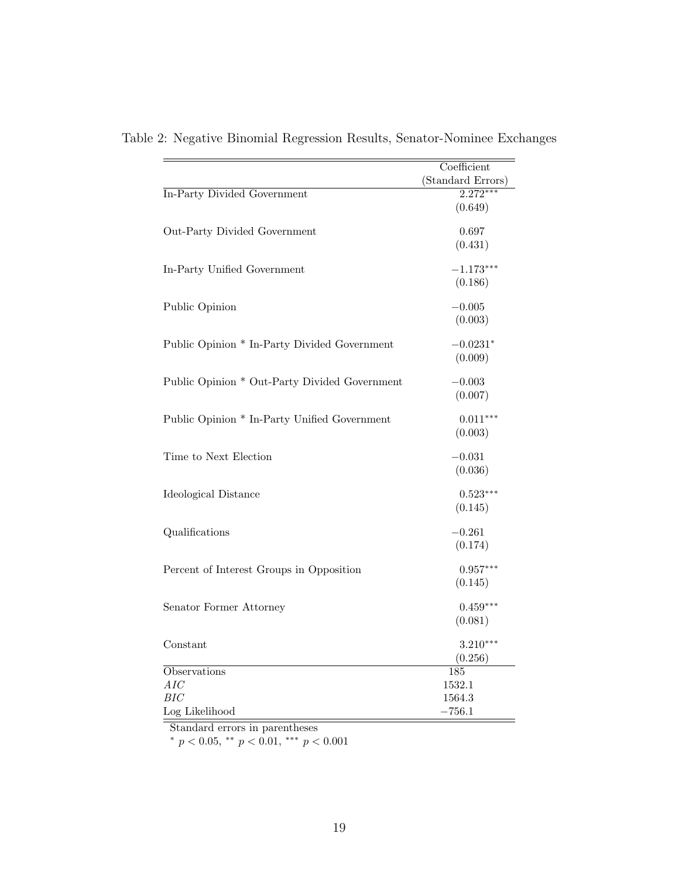|                                               | Coefficient       |
|-----------------------------------------------|-------------------|
|                                               | (Standard Errors) |
| In-Party Divided Government                   | $2.272***$        |
|                                               | (0.649)           |
|                                               |                   |
| Out-Party Divided Government                  | 0.697             |
|                                               | (0.431)           |
| In-Party Unified Government                   | $-1.173***$       |
|                                               | (0.186)           |
|                                               |                   |
| Public Opinion                                | $-0.005$          |
|                                               | (0.003)           |
|                                               |                   |
| Public Opinion * In-Party Divided Government  | $-0.0231*$        |
|                                               | (0.009)           |
| Public Opinion * Out-Party Divided Government | $-0.003$          |
|                                               | (0.007)           |
|                                               |                   |
| Public Opinion * In-Party Unified Government  | $0.011***$        |
|                                               | (0.003)           |
|                                               |                   |
| Time to Next Election                         | $-0.031$          |
|                                               | (0.036)           |
| Ideological Distance                          | $0.523***$        |
|                                               | (0.145)           |
|                                               |                   |
| Qualifications                                | $-0.261$          |
|                                               | (0.174)           |
|                                               |                   |
| Percent of Interest Groups in Opposition      | $0.957***$        |
|                                               | (0.145)           |
| Senator Former Attorney                       | $0.459***$        |
|                                               | (0.081)           |
|                                               |                   |
| Constant                                      | $3.210***$        |
|                                               | (0.256)           |
| Observations                                  | 185               |
| AIC                                           | 1532.1            |
| BIC                                           | 1564.3            |
| Log Likelihood                                | $-756.1$          |

<span id="page-19-0"></span>Table 2: Negative Binomial Regression Results, Senator-Nominee Exchanges

Standard errors in parentheses

\*  $p < 0.05$ , \*\*  $p < 0.01$ , \*\*\*  $p < 0.001$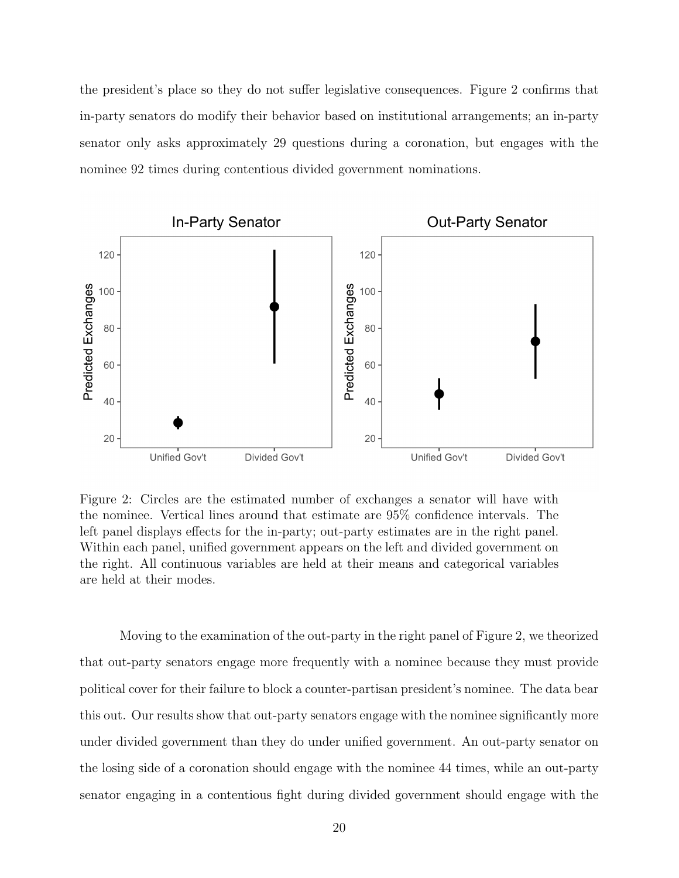the president's place so they do not suffer legislative consequences. Figure 2 confirms that in-party senators do modify their behavior based on institutional arrangements; an in-party senator only asks approximately 29 questions during a coronation, but engages with the nominee 92 times during contentious divided government nominations.



Figure 2: Circles are the estimated number of exchanges a senator will have with the nominee. Vertical lines around that estimate are 95% confidence intervals. The left panel displays effects for the in-party; out-party estimates are in the right panel. Within each panel, unified government appears on the left and divided government on the right. All continuous variables are held at their means and categorical variables are held at their modes.

Moving to the examination of the out-party in the right panel of Figure 2, we theorized that out-party senators engage more frequently with a nominee because they must provide political cover for their failure to block a counter-partisan president's nominee. The data bear this out. Our results show that out-party senators engage with the nominee significantly more under divided government than they do under unified government. An out-party senator on the losing side of a coronation should engage with the nominee 44 times, while an out-party senator engaging in a contentious fight during divided government should engage with the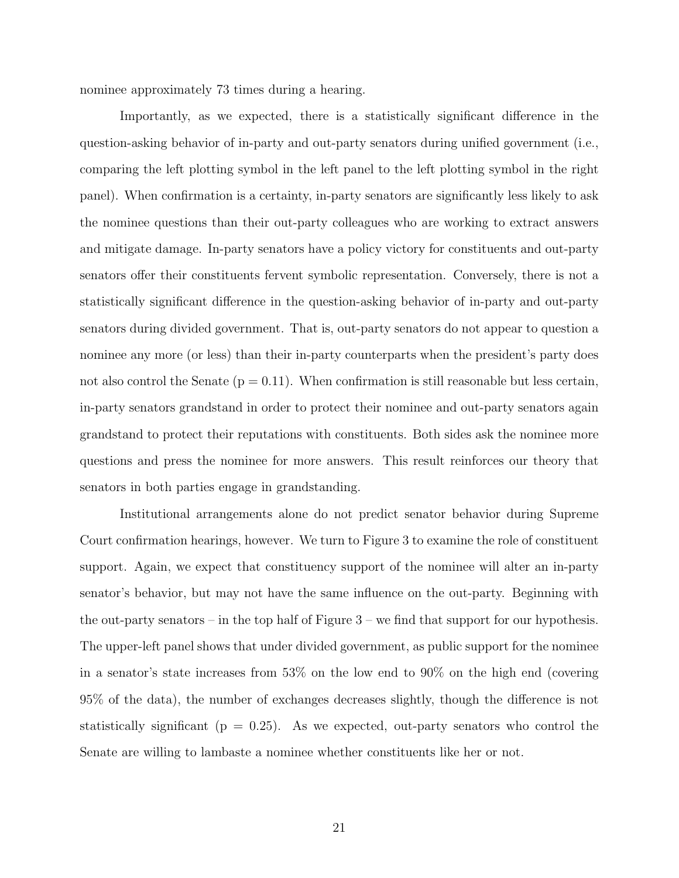nominee approximately 73 times during a hearing.

Importantly, as we expected, there is a statistically significant difference in the question-asking behavior of in-party and out-party senators during unified government (i.e., comparing the left plotting symbol in the left panel to the left plotting symbol in the right panel). When confirmation is a certainty, in-party senators are significantly less likely to ask the nominee questions than their out-party colleagues who are working to extract answers and mitigate damage. In-party senators have a policy victory for constituents and out-party senators offer their constituents fervent symbolic representation. Conversely, there is not a statistically significant difference in the question-asking behavior of in-party and out-party senators during divided government. That is, out-party senators do not appear to question a nominee any more (or less) than their in-party counterparts when the president's party does not also control the Senate ( $p = 0.11$ ). When confirmation is still reasonable but less certain, in-party senators grandstand in order to protect their nominee and out-party senators again grandstand to protect their reputations with constituents. Both sides ask the nominee more questions and press the nominee for more answers. This result reinforces our theory that senators in both parties engage in grandstanding.

Institutional arrangements alone do not predict senator behavior during Supreme Court confirmation hearings, however. We turn to Figure 3 to examine the role of constituent support. Again, we expect that constituency support of the nominee will alter an in-party senator's behavior, but may not have the same influence on the out-party. Beginning with the out-party senators – in the top half of Figure 3 – we find that support for our hypothesis. The upper-left panel shows that under divided government, as public support for the nominee in a senator's state increases from 53% on the low end to 90% on the high end (covering 95% of the data), the number of exchanges decreases slightly, though the difference is not statistically significant ( $p = 0.25$ ). As we expected, out-party senators who control the Senate are willing to lambaste a nominee whether constituents like her or not.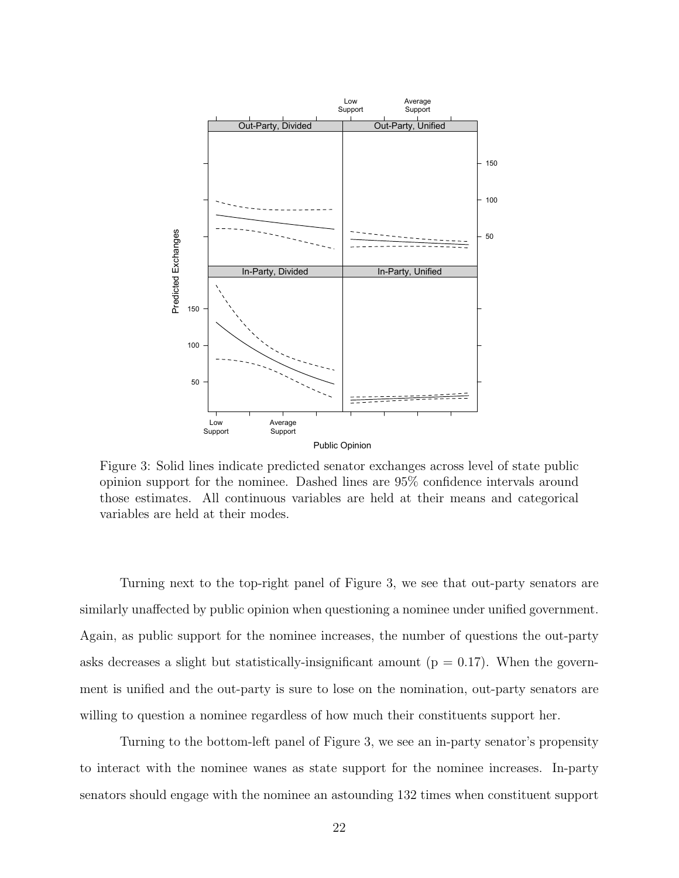

Figure 3: Solid lines indicate predicted senator exchanges across level of state public opinion support for the nominee. Dashed lines are 95% confidence intervals around those estimates. All continuous variables are held at their means and categorical variables are held at their modes.

Turning next to the top-right panel of Figure 3, we see that out-party senators are similarly unaffected by public opinion when questioning a nominee under unified government. Again, as public support for the nominee increases, the number of questions the out-party asks decreases a slight but statistically-insignificant amount ( $p = 0.17$ ). When the government is unified and the out-party is sure to lose on the nomination, out-party senators are willing to question a nominee regardless of how much their constituents support her.

Turning to the bottom-left panel of Figure 3, we see an in-party senator's propensity to interact with the nominee wanes as state support for the nominee increases. In-party senators should engage with the nominee an astounding 132 times when constituent support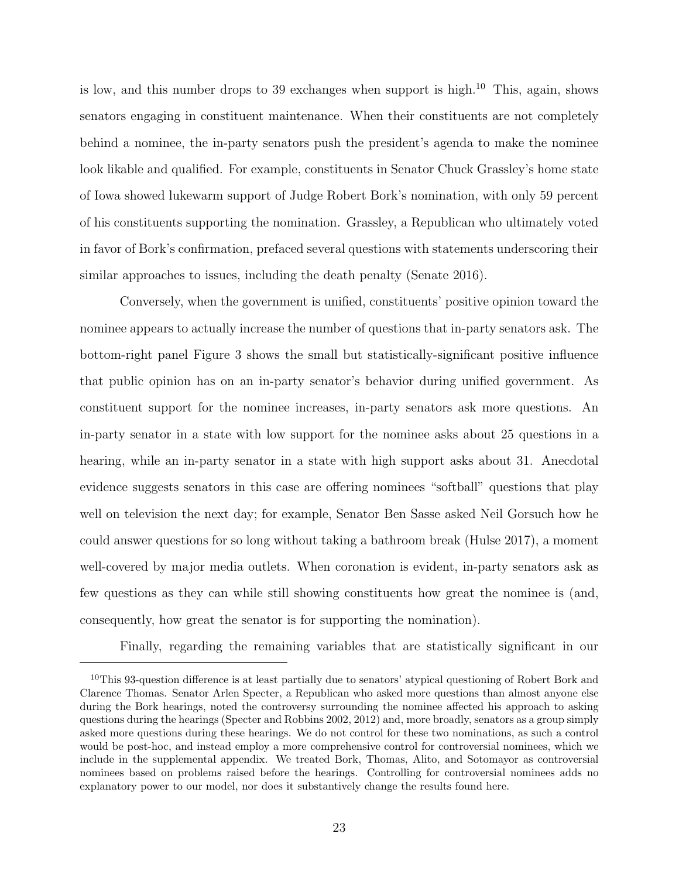is low, and this number drops to 39 exchanges when support is high.<sup>[10](#page-0-0)</sup> This, again, shows senators engaging in constituent maintenance. When their constituents are not completely behind a nominee, the in-party senators push the president's agenda to make the nominee look likable and qualified. For example, constituents in Senator Chuck Grassley's home state of Iowa showed lukewarm support of Judge Robert Bork's nomination, with only 59 percent of his constituents supporting the nomination. Grassley, a Republican who ultimately voted in favor of Bork's confirmation, prefaced several questions with statements underscoring their similar approaches to issues, including the death penalty [\(Senate 2016\)](#page-35-4).

Conversely, when the government is unified, constituents' positive opinion toward the nominee appears to actually increase the number of questions that in-party senators ask. The bottom-right panel Figure 3 shows the small but statistically-significant positive influence that public opinion has on an in-party senator's behavior during unified government. As constituent support for the nominee increases, in-party senators ask more questions. An in-party senator in a state with low support for the nominee asks about 25 questions in a hearing, while an in-party senator in a state with high support asks about 31. Anecdotal evidence suggests senators in this case are offering nominees "softball" questions that play well on television the next day; for example, Senator Ben Sasse asked Neil Gorsuch how he could answer questions for so long without taking a bathroom break [\(Hulse 2017\)](#page-33-12), a moment well-covered by major media outlets. When coronation is evident, in-party senators ask as few questions as they can while still showing constituents how great the nominee is (and, consequently, how great the senator is for supporting the nomination).

Finally, regarding the remaining variables that are statistically significant in our

<sup>&</sup>lt;sup>10</sup>This 93-question difference is at least partially due to senators' atypical questioning of Robert Bork and Clarence Thomas. Senator Arlen Specter, a Republican who asked more questions than almost anyone else during the Bork hearings, noted the controversy surrounding the nominee affected his approach to asking questions during the hearings [\(Specter and Robbins 2002,](#page-36-6) [2012\)](#page-36-7) and, more broadly, senators as a group simply asked more questions during these hearings. We do not control for these two nominations, as such a control would be post-hoc, and instead employ a more comprehensive control for controversial nominees, which we include in the supplemental appendix. We treated Bork, Thomas, Alito, and Sotomayor as controversial nominees based on problems raised before the hearings. Controlling for controversial nominees adds no explanatory power to our model, nor does it substantively change the results found here.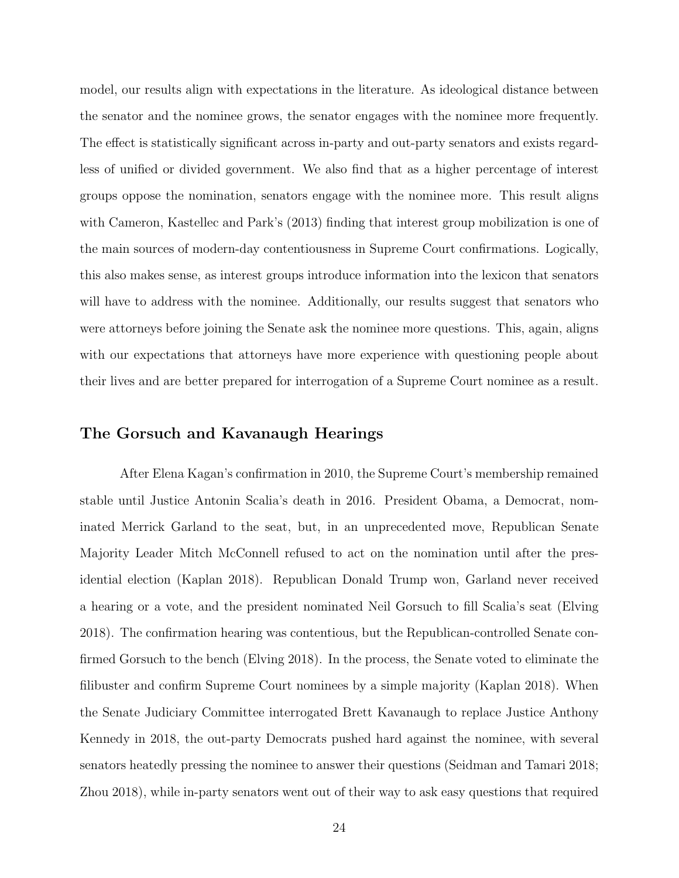model, our results align with expectations in the literature. As ideological distance between the senator and the nominee grows, the senator engages with the nominee more frequently. The effect is statistically significant across in-party and out-party senators and exists regardless of unified or divided government. We also find that as a higher percentage of interest groups oppose the nomination, senators engage with the nominee more. This result aligns with [Cameron, Kastellec and Park'](#page-31-2)s [\(2013\)](#page-31-2) finding that interest group mobilization is one of the main sources of modern-day contentiousness in Supreme Court confirmations. Logically, this also makes sense, as interest groups introduce information into the lexicon that senators will have to address with the nominee. Additionally, our results suggest that senators who were attorneys before joining the Senate ask the nominee more questions. This, again, aligns with our expectations that attorneys have more experience with questioning people about their lives and are better prepared for interrogation of a Supreme Court nominee as a result.

#### The Gorsuch and Kavanaugh Hearings

After Elena Kagan's confirmation in 2010, the Supreme Court's membership remained stable until Justice Antonin Scalia's death in 2016. President Obama, a Democrat, nominated Merrick Garland to the seat, but, in an unprecedented move, Republican Senate Majority Leader Mitch McConnell refused to act on the nomination until after the presidential election [\(Kaplan 2018\)](#page-33-13). Republican Donald Trump won, Garland never received a hearing or a vote, and the president nominated Neil Gorsuch to fill Scalia's seat [\(Elving](#page-32-11) [2018\)](#page-32-11). The confirmation hearing was contentious, but the Republican-controlled Senate confirmed Gorsuch to the bench [\(Elving 2018\)](#page-32-11). In the process, the Senate voted to eliminate the filibuster and confirm Supreme Court nominees by a simple majority [\(Kaplan 2018\)](#page-33-13). When the Senate Judiciary Committee interrogated Brett Kavanaugh to replace Justice Anthony Kennedy in 2018, the out-party Democrats pushed hard against the nominee, with several senators heatedly pressing the nominee to answer their questions [\(Seidman and Tamari 2018;](#page-35-11) [Zhou 2018\)](#page-36-8), while in-party senators went out of their way to ask easy questions that required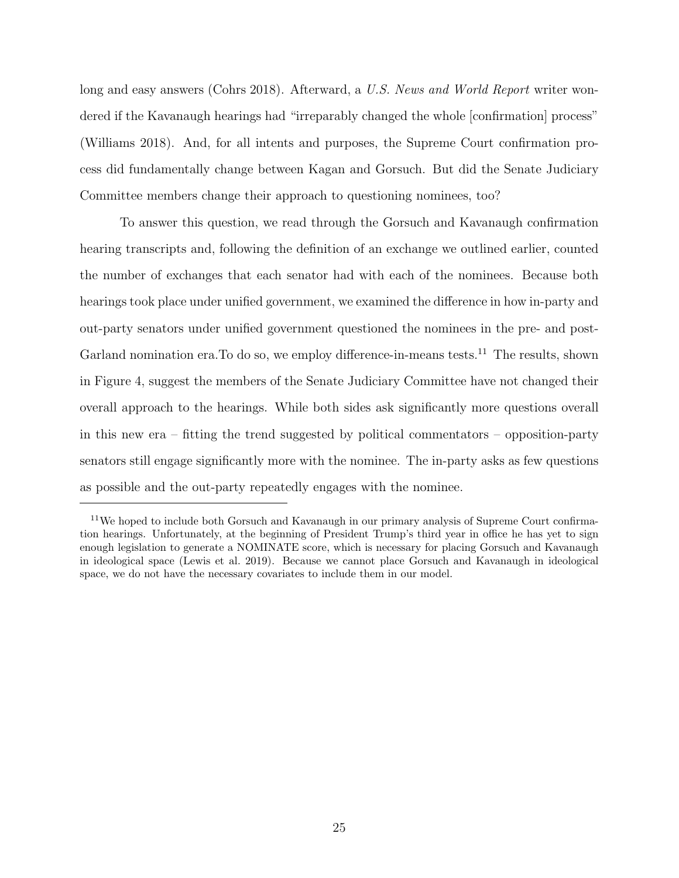long and easy answers [\(Cohrs 2018\)](#page-32-12). Afterward, a U.S. News and World Report writer wondered if the Kavanaugh hearings had "irreparably changed the whole [confirmation] process" [\(Williams 2018\)](#page-36-9). And, for all intents and purposes, the Supreme Court confirmation process did fundamentally change between Kagan and Gorsuch. But did the Senate Judiciary Committee members change their approach to questioning nominees, too?

To answer this question, we read through the Gorsuch and Kavanaugh confirmation hearing transcripts and, following the definition of an exchange we outlined earlier, counted the number of exchanges that each senator had with each of the nominees. Because both hearings took place under unified government, we examined the difference in how in-party and out-party senators under unified government questioned the nominees in the pre- and post-Garland nomination era. To do so, we employ difference-in-means tests.<sup>[11](#page-0-0)</sup> The results, shown in Figure 4, suggest the members of the Senate Judiciary Committee have not changed their overall approach to the hearings. While both sides ask significantly more questions overall in this new era – fitting the trend suggested by political commentators – opposition-party senators still engage significantly more with the nominee. The in-party asks as few questions as possible and the out-party repeatedly engages with the nominee.

<sup>&</sup>lt;sup>11</sup>We hoped to include both Gorsuch and Kavanaugh in our primary analysis of Supreme Court confirmation hearings. Unfortunately, at the beginning of President Trump's third year in office he has yet to sign enough legislation to generate a NOMINATE score, which is necessary for placing Gorsuch and Kavanaugh in ideological space [\(Lewis et al. 2019\)](#page-34-11). Because we cannot place Gorsuch and Kavanaugh in ideological space, we do not have the necessary covariates to include them in our model.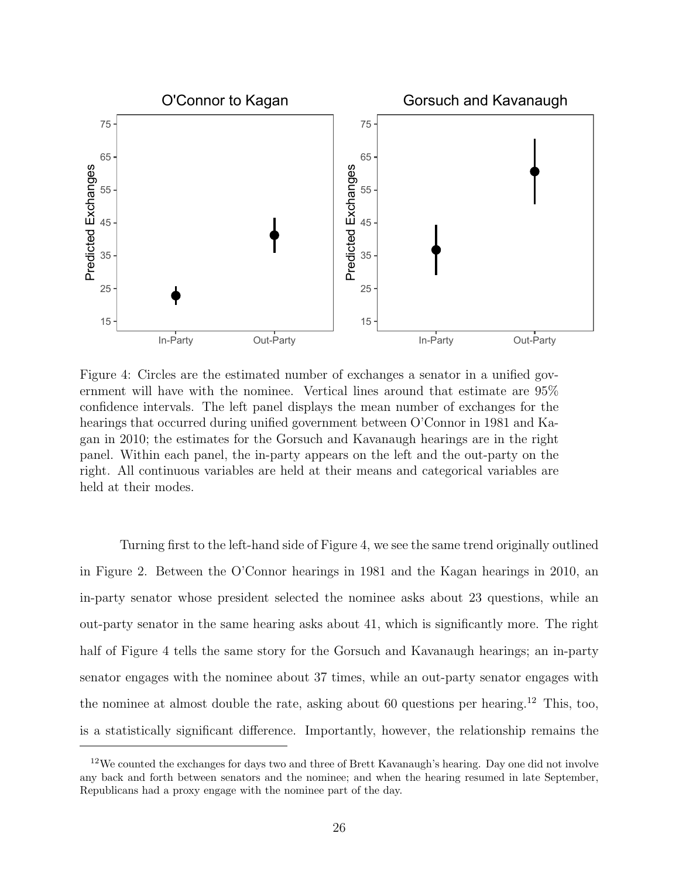

Figure 4: Circles are the estimated number of exchanges a senator in a unified government will have with the nominee. Vertical lines around that estimate are 95% confidence intervals. The left panel displays the mean number of exchanges for the hearings that occurred during unified government between O'Connor in 1981 and Kagan in 2010; the estimates for the Gorsuch and Kavanaugh hearings are in the right panel. Within each panel, the in-party appears on the left and the out-party on the right. All continuous variables are held at their means and categorical variables are held at their modes.

Turning first to the left-hand side of Figure 4, we see the same trend originally outlined in Figure 2. Between the O'Connor hearings in 1981 and the Kagan hearings in 2010, an in-party senator whose president selected the nominee asks about 23 questions, while an out-party senator in the same hearing asks about 41, which is significantly more. The right half of Figure 4 tells the same story for the Gorsuch and Kavanaugh hearings; an in-party senator engages with the nominee about 37 times, while an out-party senator engages with the nominee at almost double the rate, asking about 60 questions per hearing.[12](#page-0-0) This, too, is a statistically significant difference. Importantly, however, the relationship remains the

<sup>&</sup>lt;sup>12</sup>We counted the exchanges for days two and three of Brett Kavanaugh's hearing. Day one did not involve any back and forth between senators and the nominee; and when the hearing resumed in late September, Republicans had a proxy engage with the nominee part of the day.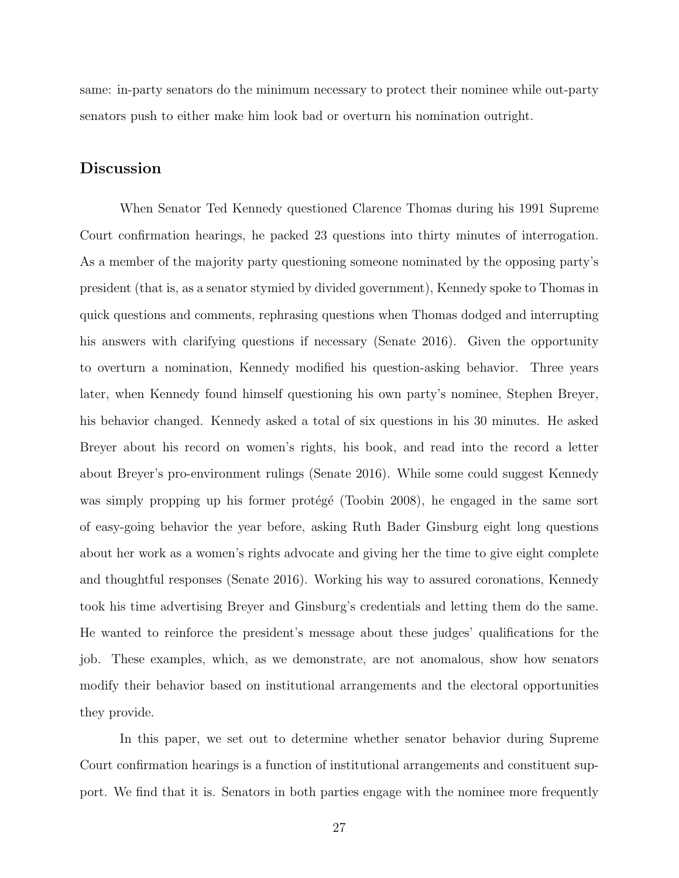same: in-party senators do the minimum necessary to protect their nominee while out-party senators push to either make him look bad or overturn his nomination outright.

#### Discussion

When Senator Ted Kennedy questioned Clarence Thomas during his 1991 Supreme Court confirmation hearings, he packed 23 questions into thirty minutes of interrogation. As a member of the majority party questioning someone nominated by the opposing party's president (that is, as a senator stymied by divided government), Kennedy spoke to Thomas in quick questions and comments, rephrasing questions when Thomas dodged and interrupting his answers with clarifying questions if necessary [\(Senate 2016\)](#page-35-4). Given the opportunity to overturn a nomination, Kennedy modified his question-asking behavior. Three years later, when Kennedy found himself questioning his own party's nominee, Stephen Breyer, his behavior changed. Kennedy asked a total of six questions in his 30 minutes. He asked Breyer about his record on women's rights, his book, and read into the record a letter about Breyer's pro-environment rulings [\(Senate 2016\)](#page-35-4). While some could suggest Kennedy was simply propping up his former protege [\(Toobin 2008\)](#page-36-10), he engaged in the same sort of easy-going behavior the year before, asking Ruth Bader Ginsburg eight long questions about her work as a women's rights advocate and giving her the time to give eight complete and thoughtful responses [\(Senate 2016\)](#page-35-4). Working his way to assured coronations, Kennedy took his time advertising Breyer and Ginsburg's credentials and letting them do the same. He wanted to reinforce the president's message about these judges' qualifications for the job. These examples, which, as we demonstrate, are not anomalous, show how senators modify their behavior based on institutional arrangements and the electoral opportunities they provide.

In this paper, we set out to determine whether senator behavior during Supreme Court confirmation hearings is a function of institutional arrangements and constituent support. We find that it is. Senators in both parties engage with the nominee more frequently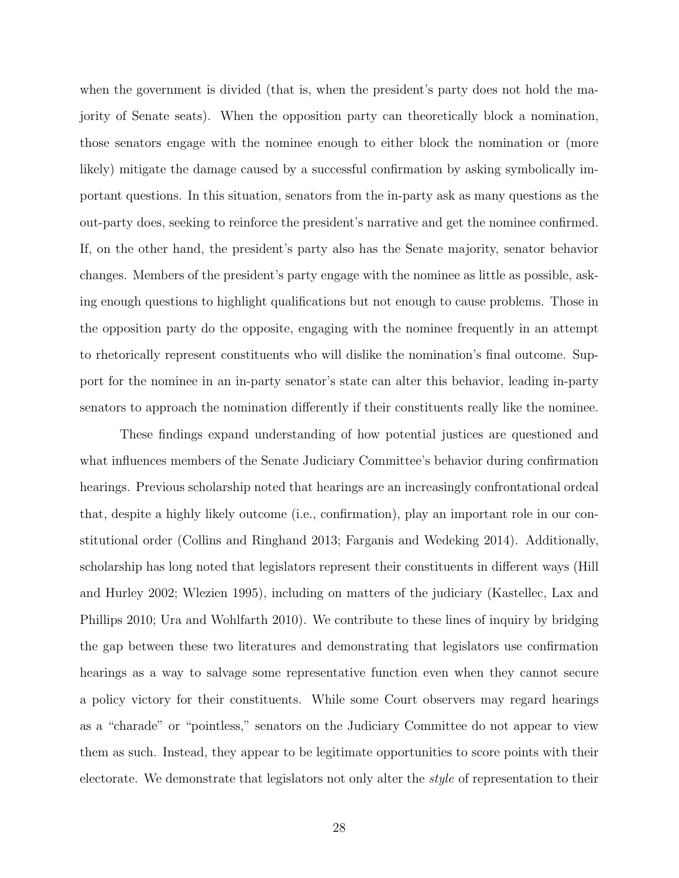when the government is divided (that is, when the president's party does not hold the majority of Senate seats). When the opposition party can theoretically block a nomination, those senators engage with the nominee enough to either block the nomination or (more likely) mitigate the damage caused by a successful confirmation by asking symbolically important questions. In this situation, senators from the in-party ask as many questions as the out-party does, seeking to reinforce the president's narrative and get the nominee confirmed. If, on the other hand, the president's party also has the Senate majority, senator behavior changes. Members of the president's party engage with the nominee as little as possible, asking enough questions to highlight qualifications but not enough to cause problems. Those in the opposition party do the opposite, engaging with the nominee frequently in an attempt to rhetorically represent constituents who will dislike the nomination's final outcome. Support for the nominee in an in-party senator's state can alter this behavior, leading in-party senators to approach the nomination differently if their constituents really like the nominee.

These findings expand understanding of how potential justices are questioned and what influences members of the Senate Judiciary Committee's behavior during confirmation hearings. Previous scholarship noted that hearings are an increasingly confrontational ordeal that, despite a highly likely outcome (i.e., confirmation), play an important role in our constitutional order [\(Collins and Ringhand 2013;](#page-32-2) [Farganis and Wedeking 2014\)](#page-32-1). Additionally, scholarship has long noted that legislators represent their constituents in different ways [\(Hill](#page-33-3) [and Hurley 2002;](#page-33-3) [Wlezien 1995\)](#page-36-1), including on matters of the judiciary [\(Kastellec, Lax and](#page-34-4) [Phillips 2010;](#page-34-4) [Ura and Wohlfarth 2010\)](#page-36-11). We contribute to these lines of inquiry by bridging the gap between these two literatures and demonstrating that legislators use confirmation hearings as a way to salvage some representative function even when they cannot secure a policy victory for their constituents. While some Court observers may regard hearings as a "charade" or "pointless," senators on the Judiciary Committee do not appear to view them as such. Instead, they appear to be legitimate opportunities to score points with their electorate. We demonstrate that legislators not only alter the style of representation to their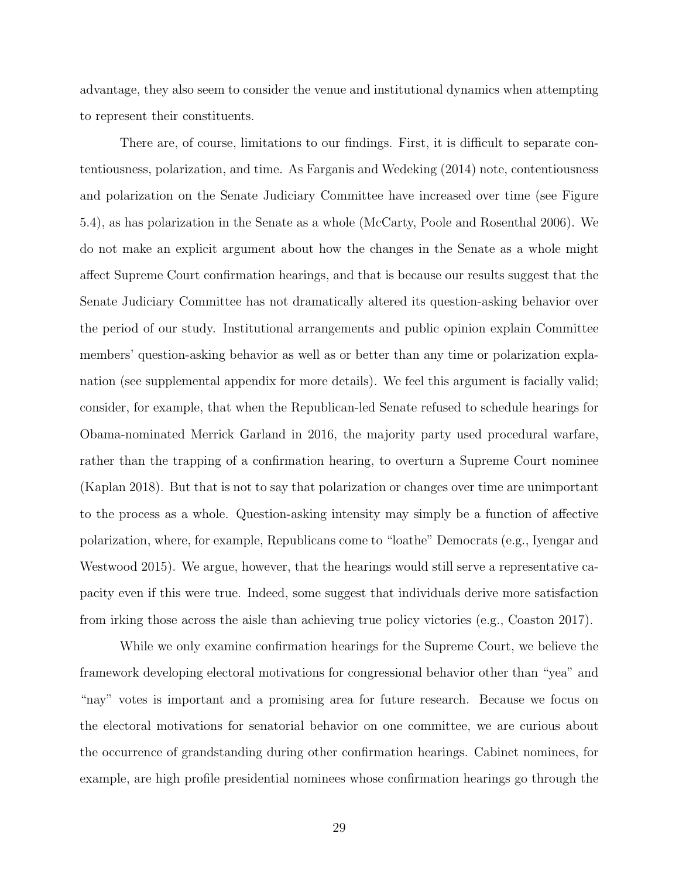advantage, they also seem to consider the venue and institutional dynamics when attempting to represent their constituents.

There are, of course, limitations to our findings. First, it is difficult to separate contentiousness, polarization, and time. As [Farganis and Wedeking](#page-32-1) [\(2014\)](#page-32-1) note, contentiousness and polarization on the Senate Judiciary Committee have increased over time (see Figure 5.4), as has polarization in the Senate as a whole [\(McCarty, Poole and Rosenthal 2006\)](#page-35-12). We do not make an explicit argument about how the changes in the Senate as a whole might affect Supreme Court confirmation hearings, and that is because our results suggest that the Senate Judiciary Committee has not dramatically altered its question-asking behavior over the period of our study. Institutional arrangements and public opinion explain Committee members' question-asking behavior as well as or better than any time or polarization explanation (see supplemental appendix for more details). We feel this argument is facially valid; consider, for example, that when the Republican-led Senate refused to schedule hearings for Obama-nominated Merrick Garland in 2016, the majority party used procedural warfare, rather than the trapping of a confirmation hearing, to overturn a Supreme Court nominee [\(Kaplan 2018\)](#page-33-13). But that is not to say that polarization or changes over time are unimportant to the process as a whole. Question-asking intensity may simply be a function of affective polarization, where, for example, Republicans come to "loathe" Democrats (e.g., [Iyengar and](#page-33-14) [Westwood 2015\)](#page-33-14). We argue, however, that the hearings would still serve a representative capacity even if this were true. Indeed, some suggest that individuals derive more satisfaction from irking those across the aisle than achieving true policy victories (e.g., [Coaston 2017\)](#page-32-13).

While we only examine confirmation hearings for the Supreme Court, we believe the framework developing electoral motivations for congressional behavior other than "yea" and "nay" votes is important and a promising area for future research. Because we focus on the electoral motivations for senatorial behavior on one committee, we are curious about the occurrence of grandstanding during other confirmation hearings. Cabinet nominees, for example, are high profile presidential nominees whose confirmation hearings go through the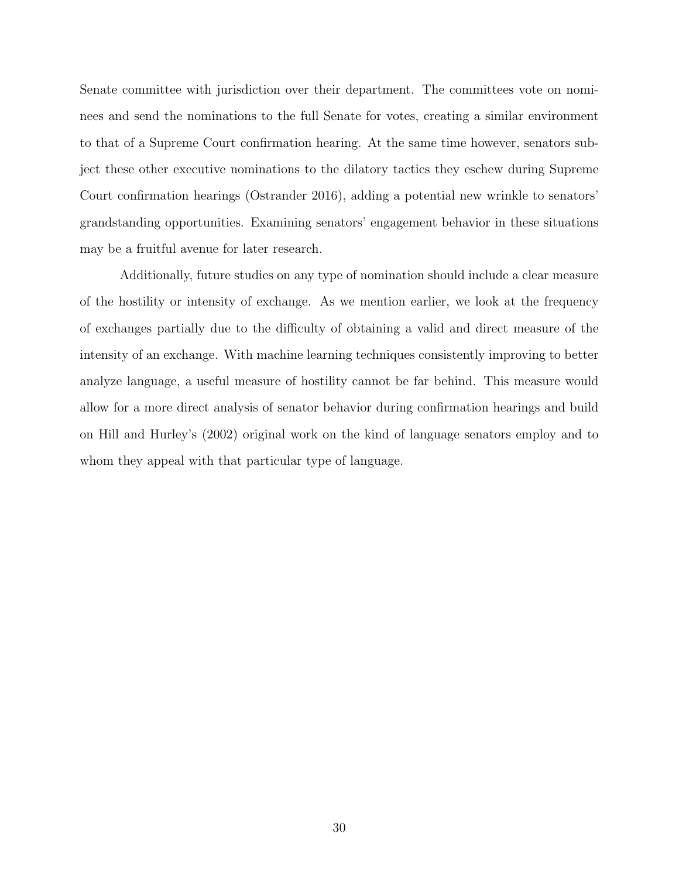Senate committee with jurisdiction over their department. The committees vote on nominees and send the nominations to the full Senate for votes, creating a similar environment to that of a Supreme Court confirmation hearing. At the same time however, senators subject these other executive nominations to the dilatory tactics they eschew during Supreme Court confirmation hearings [\(Ostrander 2016\)](#page-35-13), adding a potential new wrinkle to senators' grandstanding opportunities. Examining senators' engagement behavior in these situations may be a fruitful avenue for later research.

Additionally, future studies on any type of nomination should include a clear measure of the hostility or intensity of exchange. As we mention earlier, we look at the frequency of exchanges partially due to the difficulty of obtaining a valid and direct measure of the intensity of an exchange. With machine learning techniques consistently improving to better analyze language, a useful measure of hostility cannot be far behind. This measure would allow for a more direct analysis of senator behavior during confirmation hearings and build on [Hill and Hurley'](#page-33-3)s [\(2002\)](#page-33-3) original work on the kind of language senators employ and to whom they appeal with that particular type of language.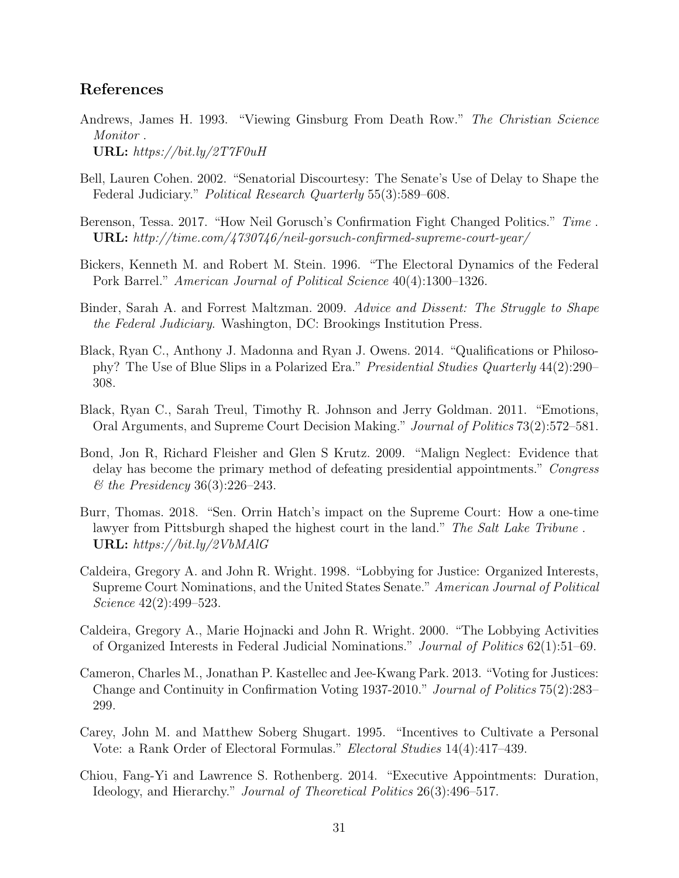#### References

- <span id="page-31-8"></span>Andrews, James H. 1993. "Viewing Ginsburg From Death Row." The Christian Science Monitor . URL: https://bit.ly/2T7F0uH
- <span id="page-31-12"></span>Bell, Lauren Cohen. 2002. "Senatorial Discourtesy: The Senate's Use of Delay to Shape the Federal Judiciary." Political Research Quarterly 55(3):589–608.
- <span id="page-31-4"></span>Berenson, Tessa. 2017. "How Neil Gorusch's Confirmation Fight Changed Politics." Time. URL: http://time.com/4730746/neil-gorsuch-confirmed-supreme-court-year/
- <span id="page-31-0"></span>Bickers, Kenneth M. and Robert M. Stein. 1996. "The Electoral Dynamics of the Federal Pork Barrel." American Journal of Political Science 40(4):1300–1326.
- <span id="page-31-6"></span>Binder, Sarah A. and Forrest Maltzman. 2009. Advice and Dissent: The Struggle to Shape the Federal Judiciary. Washington, DC: Brookings Institution Press.
- <span id="page-31-5"></span>Black, Ryan C., Anthony J. Madonna and Ryan J. Owens. 2014. "Qualifications or Philosophy? The Use of Blue Slips in a Polarized Era." Presidential Studies Quarterly 44(2):290– 308.
- <span id="page-31-11"></span>Black, Ryan C., Sarah Treul, Timothy R. Johnson and Jerry Goldman. 2011. "Emotions, Oral Arguments, and Supreme Court Decision Making." Journal of Politics 73(2):572–581.
- <span id="page-31-7"></span>Bond, Jon R, Richard Fleisher and Glen S Krutz. 2009. "Malign Neglect: Evidence that delay has become the primary method of defeating presidential appointments." Congress & the Presidency 36(3):226–243.
- <span id="page-31-9"></span>Burr, Thomas. 2018. "Sen. Orrin Hatch's impact on the Supreme Court: How a one-time lawyer from Pittsburgh shaped the highest court in the land." The Salt Lake Tribune. URL: https://bit.ly/2VbMAlG
- <span id="page-31-13"></span>Caldeira, Gregory A. and John R. Wright. 1998. "Lobbying for Justice: Organized Interests, Supreme Court Nominations, and the United States Senate." American Journal of Political Science 42(2):499–523.
- <span id="page-31-10"></span>Caldeira, Gregory A., Marie Hojnacki and John R. Wright. 2000. "The Lobbying Activities of Organized Interests in Federal Judicial Nominations." Journal of Politics 62(1):51–69.
- <span id="page-31-2"></span>Cameron, Charles M., Jonathan P. Kastellec and Jee-Kwang Park. 2013. "Voting for Justices: Change and Continuity in Confirmation Voting 1937-2010." Journal of Politics 75(2):283– 299.
- <span id="page-31-1"></span>Carey, John M. and Matthew Soberg Shugart. 1995. "Incentives to Cultivate a Personal Vote: a Rank Order of Electoral Formulas." Electoral Studies 14(4):417–439.
- <span id="page-31-3"></span>Chiou, Fang-Yi and Lawrence S. Rothenberg. 2014. "Executive Appointments: Duration, Ideology, and Hierarchy." Journal of Theoretical Politics 26(3):496–517.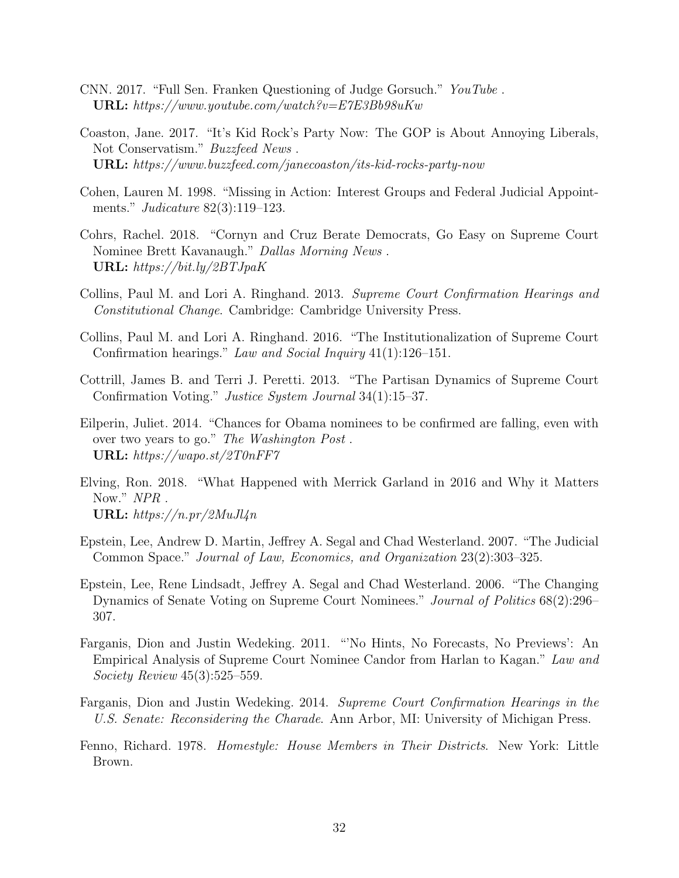- <span id="page-32-9"></span>CNN. 2017. "Full Sen. Franken Questioning of Judge Gorsuch." YouTube . URL: https://www.youtube.com/watch?v=E7E3Bb98uKw
- <span id="page-32-13"></span>Coaston, Jane. 2017. "It's Kid Rock's Party Now: The GOP is About Annoying Liberals, Not Conservatism." Buzzfeed News . URL: https://www.buzzfeed.com/janecoaston/its-kid-rocks-party-now
- <span id="page-32-8"></span>Cohen, Lauren M. 1998. "Missing in Action: Interest Groups and Federal Judicial Appointments." Judicature 82(3):119–123.
- <span id="page-32-12"></span>Cohrs, Rachel. 2018. "Cornyn and Cruz Berate Democrats, Go Easy on Supreme Court Nominee Brett Kavanaugh." Dallas Morning News . URL: https://bit.ly/2BTJpaK
- <span id="page-32-2"></span>Collins, Paul M. and Lori A. Ringhand. 2013. Supreme Court Confirmation Hearings and Constitutional Change. Cambridge: Cambridge University Press.
- <span id="page-32-6"></span>Collins, Paul M. and Lori A. Ringhand. 2016. "The Institutionalization of Supreme Court Confirmation hearings." Law and Social Inquiry 41(1):126–151.
- <span id="page-32-5"></span>Cottrill, James B. and Terri J. Peretti. 2013. "The Partisan Dynamics of Supreme Court Confirmation Voting." Justice System Journal 34(1):15–37.
- <span id="page-32-3"></span>Eilperin, Juliet. 2014. "Chances for Obama nominees to be confirmed are falling, even with over two years to go." The Washington Post . URL: https://wapo.st/2T0nFF7
- <span id="page-32-11"></span>Elving, Ron. 2018. "What Happened with Merrick Garland in 2016 and Why it Matters Now." NPR . URL:  $\frac{https://n.pr/2MuJl4n}{$
- <span id="page-32-10"></span>Epstein, Lee, Andrew D. Martin, Jeffrey A. Segal and Chad Westerland. 2007. "The Judicial Common Space." Journal of Law, Economics, and Organization 23(2):303–325.
- <span id="page-32-4"></span>Epstein, Lee, Rene Lindsadt, Jeffrey A. Segal and Chad Westerland. 2006. "The Changing Dynamics of Senate Voting on Supreme Court Nominees." Journal of Politics 68(2):296– 307.
- <span id="page-32-7"></span>Farganis, Dion and Justin Wedeking. 2011. "'No Hints, No Forecasts, No Previews': An Empirical Analysis of Supreme Court Nominee Candor from Harlan to Kagan." Law and Society Review 45(3):525–559.
- <span id="page-32-1"></span>Farganis, Dion and Justin Wedeking. 2014. Supreme Court Confirmation Hearings in the U.S. Senate: Reconsidering the Charade. Ann Arbor, MI: University of Michigan Press.
- <span id="page-32-0"></span>Fenno, Richard. 1978. Homestyle: House Members in Their Districts. New York: Little Brown.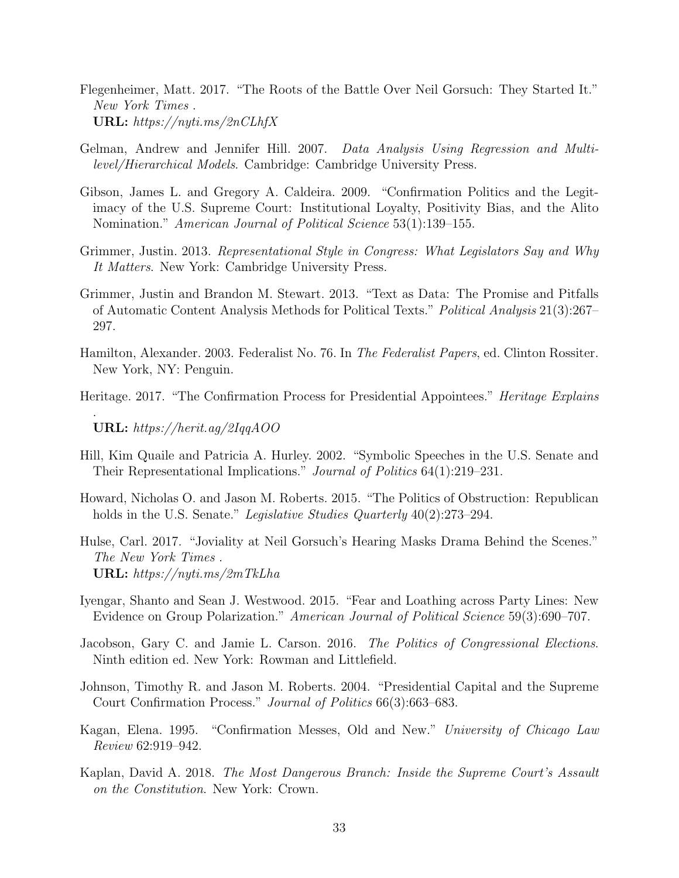- <span id="page-33-4"></span>Flegenheimer, Matt. 2017. "The Roots of the Battle Over Neil Gorsuch: They Started It." New York Times . URL: https://nyti.ms/2nCLhfX
- <span id="page-33-11"></span>Gelman, Andrew and Jennifer Hill. 2007. Data Analysis Using Regression and Multilevel/Hierarchical Models. Cambridge: Cambridge University Press.
- <span id="page-33-8"></span>Gibson, James L. and Gregory A. Caldeira. 2009. "Confirmation Politics and the Legitimacy of the U.S. Supreme Court: Institutional Loyalty, Positivity Bias, and the Alito Nomination." American Journal of Political Science 53(1):139–155.
- <span id="page-33-1"></span>Grimmer, Justin. 2013. Representational Style in Congress: What Legislators Say and Why It Matters. New York: Cambridge University Press.
- <span id="page-33-10"></span>Grimmer, Justin and Brandon M. Stewart. 2013. "Text as Data: The Promise and Pitfalls of Automatic Content Analysis Methods for Political Texts." Political Analysis 21(3):267– 297.
- <span id="page-33-7"></span>Hamilton, Alexander. 2003. Federalist No. 76. In The Federalist Papers, ed. Clinton Rossiter. New York, NY: Penguin.
- <span id="page-33-6"></span>Heritage. 2017. "The Confirmation Process for Presidential Appointees." *Heritage Explains*

URL: https://herit.ag/2IqqAOO

.

- <span id="page-33-3"></span>Hill, Kim Quaile and Patricia A. Hurley. 2002. "Symbolic Speeches in the U.S. Senate and Their Representational Implications." Journal of Politics 64(1):219–231.
- <span id="page-33-5"></span>Howard, Nicholas O. and Jason M. Roberts. 2015. "The Politics of Obstruction: Republican holds in the U.S. Senate." Legislative Studies Quarterly 40(2):273–294.
- <span id="page-33-12"></span>Hulse, Carl. 2017. "Joviality at Neil Gorsuch's Hearing Masks Drama Behind the Scenes." The New York Times . URL: https://nyti.ms/2mTkLha
- <span id="page-33-14"></span>Iyengar, Shanto and Sean J. Westwood. 2015. "Fear and Loathing across Party Lines: New Evidence on Group Polarization." American Journal of Political Science 59(3):690–707.
- <span id="page-33-2"></span>Jacobson, Gary C. and Jamie L. Carson. 2016. The Politics of Congressional Elections. Ninth edition ed. New York: Rowman and Littlefield.
- <span id="page-33-9"></span>Johnson, Timothy R. and Jason M. Roberts. 2004. "Presidential Capital and the Supreme Court Confirmation Process." Journal of Politics 66(3):663–683.
- <span id="page-33-0"></span>Kagan, Elena. 1995. "Confirmation Messes, Old and New." University of Chicago Law Review 62:919–942.
- <span id="page-33-13"></span>Kaplan, David A. 2018. The Most Dangerous Branch: Inside the Supreme Court's Assault on the Constitution. New York: Crown.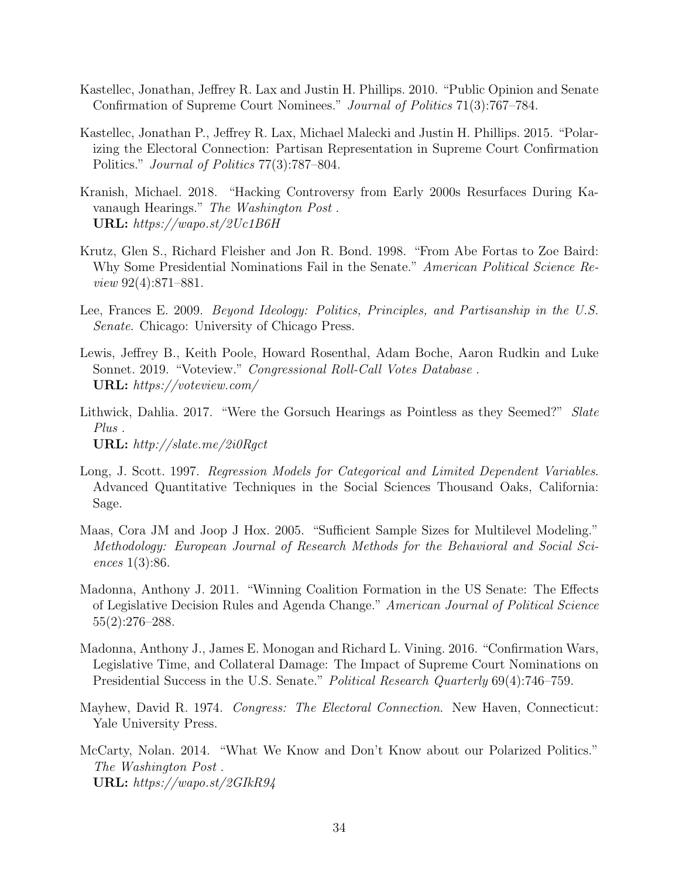- <span id="page-34-4"></span>Kastellec, Jonathan, Jeffrey R. Lax and Justin H. Phillips. 2010. "Public Opinion and Senate Confirmation of Supreme Court Nominees." Journal of Politics 71(3):767–784.
- <span id="page-34-7"></span>Kastellec, Jonathan P., Jeffrey R. Lax, Michael Malecki and Justin H. Phillips. 2015. "Polarizing the Electoral Connection: Partisan Representation in Supreme Court Confirmation Politics." Journal of Politics 77(3):787–804.
- <span id="page-34-12"></span>Kranish, Michael. 2018. "Hacking Controversy from Early 2000s Resurfaces During Kavanaugh Hearings." The Washington Post . URL: https://wapo.st/2Uc1B6H
- <span id="page-34-3"></span>Krutz, Glen S., Richard Fleisher and Jon R. Bond. 1998. "From Abe Fortas to Zoe Baird: Why Some Presidential Nominations Fail in the Senate." American Political Science Review 92(4):871–881.
- <span id="page-34-5"></span>Lee, Frances E. 2009. Beyond Ideology: Politics, Principles, and Partisanship in the U.S. Senate. Chicago: University of Chicago Press.
- <span id="page-34-11"></span>Lewis, Jeffrey B., Keith Poole, Howard Rosenthal, Adam Boche, Aaron Rudkin and Luke Sonnet. 2019. "Voteview." Congressional Roll-Call Votes Database . URL: https://voteview.com/
- <span id="page-34-0"></span>Lithwick, Dahlia. 2017. "Were the Gorsuch Hearings as Pointless as they Seemed?" Slate Plus . URL: http://slate.me/2i0Rgct
- <span id="page-34-8"></span>Long, J. Scott. 1997. Regression Models for Categorical and Limited Dependent Variables. Advanced Quantitative Techniques in the Social Sciences Thousand Oaks, California: Sage.
- <span id="page-34-10"></span>Maas, Cora JM and Joop J Hox. 2005. "Sufficient Sample Sizes for Multilevel Modeling." Methodology: European Journal of Research Methods for the Behavioral and Social Sciences 1(3):86.
- <span id="page-34-2"></span>Madonna, Anthony J. 2011. "Winning Coalition Formation in the US Senate: The Effects of Legislative Decision Rules and Agenda Change." American Journal of Political Science 55(2):276–288.
- <span id="page-34-9"></span>Madonna, Anthony J., James E. Monogan and Richard L. Vining. 2016. "Confirmation Wars, Legislative Time, and Collateral Damage: The Impact of Supreme Court Nominations on Presidential Success in the U.S. Senate." Political Research Quarterly 69(4):746–759.
- <span id="page-34-1"></span>Mayhew, David R. 1974. *Congress: The Electoral Connection*. New Haven, Connecticut: Yale University Press.
- <span id="page-34-6"></span>McCarty, Nolan. 2014. "What We Know and Don't Know about our Polarized Politics." The Washington Post . URL: https://wapo.st/2GIkR94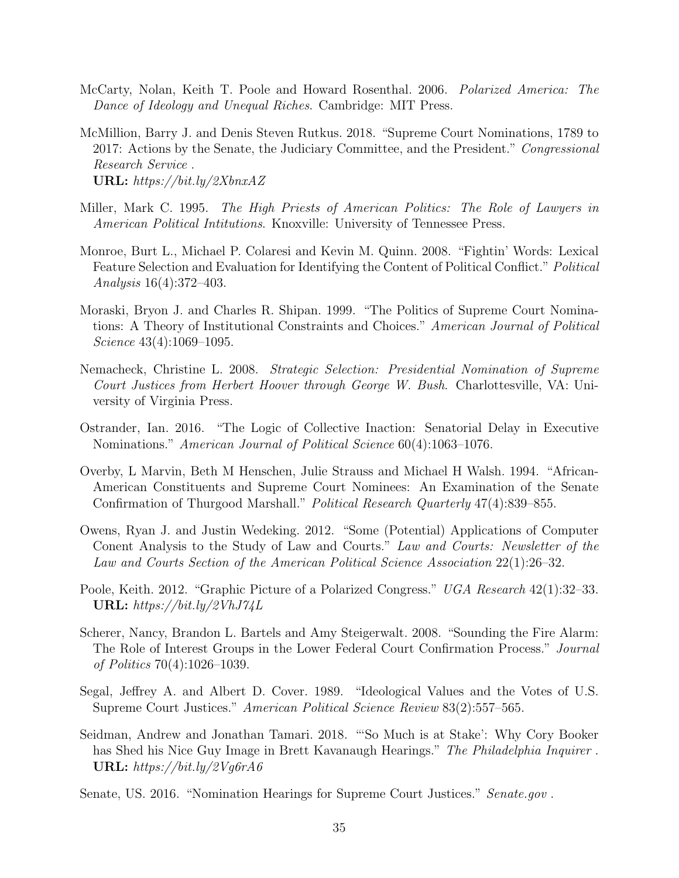- <span id="page-35-12"></span>McCarty, Nolan, Keith T. Poole and Howard Rosenthal. 2006. Polarized America: The Dance of Ideology and Unequal Riches. Cambridge: MIT Press.
- <span id="page-35-2"></span>McMillion, Barry J. and Denis Steven Rutkus. 2018. "Supreme Court Nominations, 1789 to 2017: Actions by the Senate, the Judiciary Committee, and the President." Congressional Research Service . URL: https://bit.ly/2XbnxAZ
- <span id="page-35-10"></span>Miller, Mark C. 1995. The High Priests of American Politics: The Role of Lawyers in American Political Intitutions. Knoxville: University of Tennessee Press.
- <span id="page-35-5"></span>Monroe, Burt L., Michael P. Colaresi and Kevin M. Quinn. 2008. "Fightin' Words: Lexical Feature Selection and Evaluation for Identifying the Content of Political Conflict." Political Analysis 16(4):372–403.
- <span id="page-35-1"></span>Moraski, Bryon J. and Charles R. Shipan. 1999. "The Politics of Supreme Court Nominations: A Theory of Institutional Constraints and Choices." American Journal of Political Science 43(4):1069–1095.
- <span id="page-35-0"></span>Nemacheck, Christine L. 2008. Strategic Selection: Presidential Nomination of Supreme Court Justices from Herbert Hoover through George W. Bush. Charlottesville, VA: University of Virginia Press.
- <span id="page-35-13"></span>Ostrander, Ian. 2016. "The Logic of Collective Inaction: Senatorial Delay in Executive Nominations." American Journal of Political Science 60(4):1063–1076.
- <span id="page-35-8"></span>Overby, L Marvin, Beth M Henschen, Julie Strauss and Michael H Walsh. 1994. "African-American Constituents and Supreme Court Nominees: An Examination of the Senate Confirmation of Thurgood Marshall." Political Research Quarterly 47(4):839–855.
- <span id="page-35-6"></span>Owens, Ryan J. and Justin Wedeking. 2012. "Some (Potential) Applications of Computer Conent Analysis to the Study of Law and Courts." Law and Courts: Newsletter of the Law and Courts Section of the American Political Science Association 22(1):26–32.
- <span id="page-35-7"></span>Poole, Keith. 2012. "Graphic Picture of a Polarized Congress." UGA Research 42(1):32–33. URL: https://bit.ly/2VhJ74L
- <span id="page-35-9"></span>Scherer, Nancy, Brandon L. Bartels and Amy Steigerwalt. 2008. "Sounding the Fire Alarm: The Role of Interest Groups in the Lower Federal Court Confirmation Process." Journal of Politics 70(4):1026–1039.
- <span id="page-35-3"></span>Segal, Jeffrey A. and Albert D. Cover. 1989. "Ideological Values and the Votes of U.S. Supreme Court Justices." American Political Science Review 83(2):557–565.
- <span id="page-35-11"></span>Seidman, Andrew and Jonathan Tamari. 2018. "'So Much is at Stake': Why Cory Booker has Shed his Nice Guy Image in Brett Kavanaugh Hearings." The Philadelphia Inquirer. URL: https://bit.ly/2Vg6rA6
- <span id="page-35-4"></span>Senate, US. 2016. "Nomination Hearings for Supreme Court Justices." Senate.gov.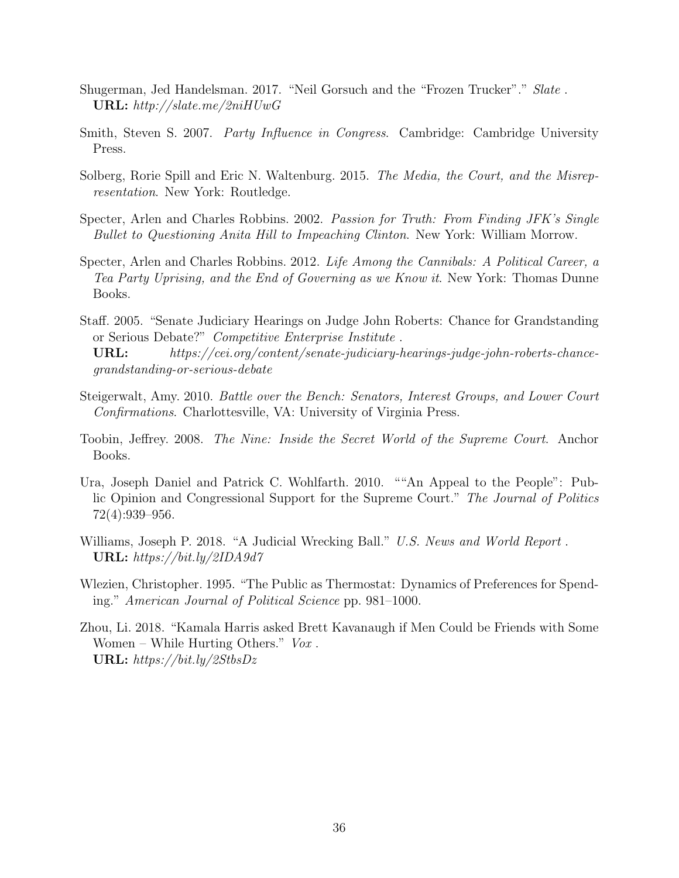- <span id="page-36-4"></span>Shugerman, Jed Handelsman. 2017. "Neil Gorsuch and the "Frozen Trucker"." Slate . URL: http://slate.me/2niHUwG
- <span id="page-36-2"></span>Smith, Steven S. 2007. Party Influence in Congress. Cambridge: Cambridge University Press.
- <span id="page-36-3"></span>Solberg, Rorie Spill and Eric N. Waltenburg. 2015. The Media, the Court, and the Misrepresentation. New York: Routledge.
- <span id="page-36-6"></span>Specter, Arlen and Charles Robbins. 2002. Passion for Truth: From Finding JFK's Single Bullet to Questioning Anita Hill to Impeaching Clinton. New York: William Morrow.
- <span id="page-36-7"></span>Specter, Arlen and Charles Robbins. 2012. Life Among the Cannibals: A Political Career, a Tea Party Uprising, and the End of Governing as we Know it. New York: Thomas Dunne Books.
- <span id="page-36-0"></span>Staff. 2005. "Senate Judiciary Hearings on Judge John Roberts: Chance for Grandstanding or Serious Debate?" Competitive Enterprise Institute .
- URL: https://cei.org/content/senate-judiciary-hearings-judge-john-roberts-chancegrandstanding-or-serious-debate
- <span id="page-36-5"></span>Steigerwalt, Amy. 2010. Battle over the Bench: Senators, Interest Groups, and Lower Court Confirmations. Charlottesville, VA: University of Virginia Press.
- <span id="page-36-10"></span>Toobin, Jeffrey. 2008. The Nine: Inside the Secret World of the Supreme Court. Anchor Books.
- <span id="page-36-11"></span>Ura, Joseph Daniel and Patrick C. Wohlfarth. 2010. ""An Appeal to the People": Public Opinion and Congressional Support for the Supreme Court." The Journal of Politics 72(4):939–956.
- <span id="page-36-9"></span>Williams, Joseph P. 2018. "A Judicial Wrecking Ball." U.S. News and World Report. URL: https://bit.ly/2IDA9d7
- <span id="page-36-1"></span>Wlezien, Christopher. 1995. "The Public as Thermostat: Dynamics of Preferences for Spending." American Journal of Political Science pp. 981–1000.
- <span id="page-36-8"></span>Zhou, Li. 2018. "Kamala Harris asked Brett Kavanaugh if Men Could be Friends with Some Women – While Hurting Others."  $Vox$ . URL: https://bit.ly/2StbsDz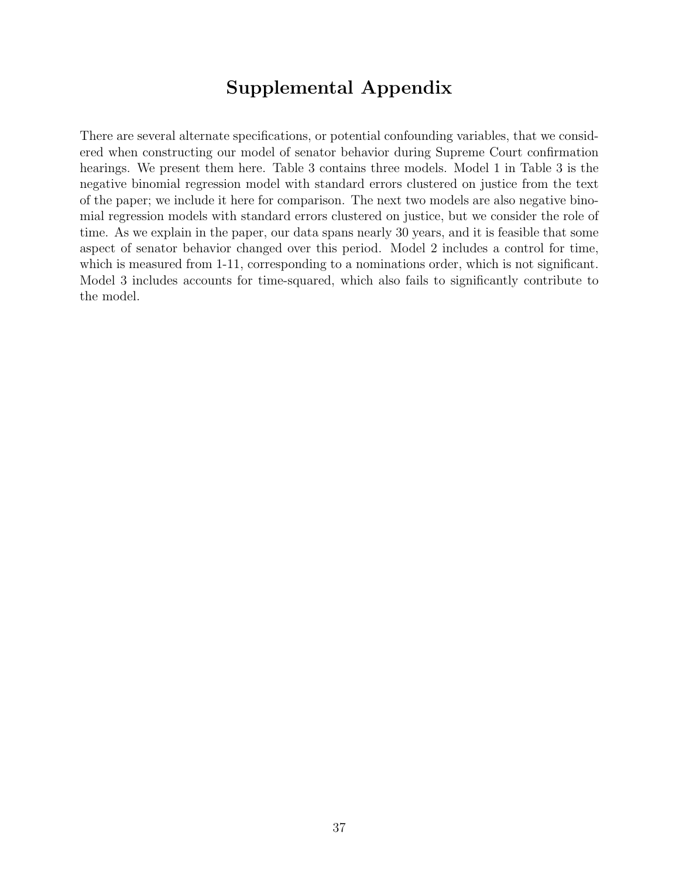# Supplemental Appendix

There are several alternate specifications, or potential confounding variables, that we considered when constructing our model of senator behavior during Supreme Court confirmation hearings. We present them here. Table [3](#page-38-0) contains three models. Model 1 in Table [3](#page-38-0) is the negative binomial regression model with standard errors clustered on justice from the text of the paper; we include it here for comparison. The next two models are also negative binomial regression models with standard errors clustered on justice, but we consider the role of time. As we explain in the paper, our data spans nearly 30 years, and it is feasible that some aspect of senator behavior changed over this period. Model 2 includes a control for time, which is measured from 1-11, corresponding to a nominations order, which is not significant. Model 3 includes accounts for time-squared, which also fails to significantly contribute to the model.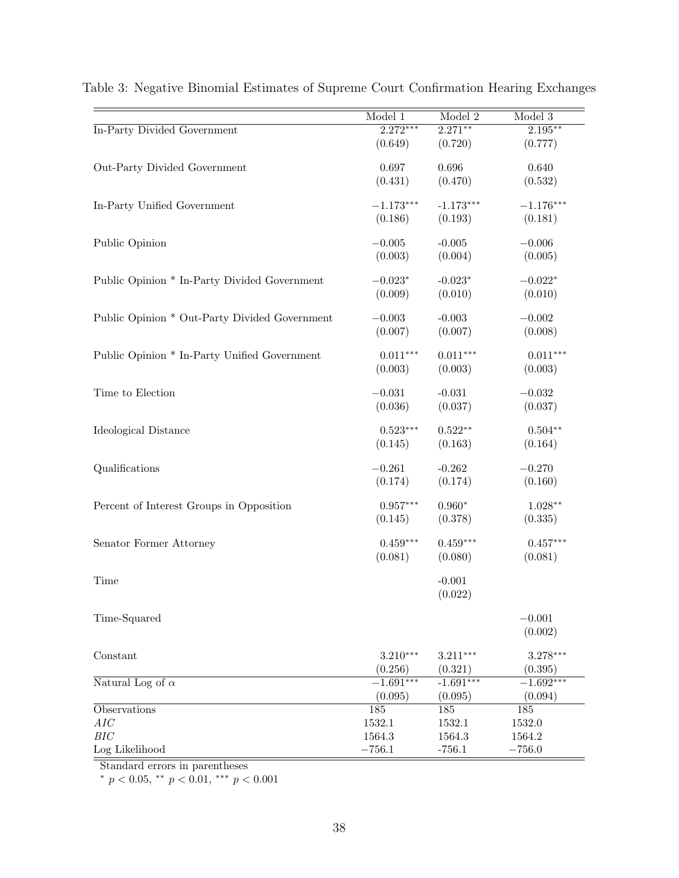|                                                                                                                                                                                  | Model 1                                                                                                                     | Model 2                                                                                                                   | Model 3                                                                                                                                           |
|----------------------------------------------------------------------------------------------------------------------------------------------------------------------------------|-----------------------------------------------------------------------------------------------------------------------------|---------------------------------------------------------------------------------------------------------------------------|---------------------------------------------------------------------------------------------------------------------------------------------------|
| In-Party Divided Government                                                                                                                                                      | $2.272***$                                                                                                                  | $2.271***$                                                                                                                | $2.195***$                                                                                                                                        |
|                                                                                                                                                                                  | (0.649)                                                                                                                     | (0.720)                                                                                                                   | (0.777)                                                                                                                                           |
| Out-Party Divided Government                                                                                                                                                     | 0.697                                                                                                                       | 0.696                                                                                                                     | 0.640                                                                                                                                             |
|                                                                                                                                                                                  | (0.431)                                                                                                                     | (0.470)                                                                                                                   | (0.532)                                                                                                                                           |
|                                                                                                                                                                                  |                                                                                                                             |                                                                                                                           |                                                                                                                                                   |
| In-Party Unified Government                                                                                                                                                      | $-1.173***$                                                                                                                 | $-1.173***$                                                                                                               | $-1.176***$                                                                                                                                       |
|                                                                                                                                                                                  | (0.186)                                                                                                                     | (0.193)                                                                                                                   | (0.181)                                                                                                                                           |
| Public Opinion                                                                                                                                                                   | $-0.005$                                                                                                                    | $-0.005$                                                                                                                  | $-0.006$                                                                                                                                          |
|                                                                                                                                                                                  | (0.003)                                                                                                                     | (0.004)                                                                                                                   | (0.005)                                                                                                                                           |
|                                                                                                                                                                                  |                                                                                                                             |                                                                                                                           |                                                                                                                                                   |
| Public Opinion * In-Party Divided Government                                                                                                                                     | $-0.023*$                                                                                                                   | $-0.023*$                                                                                                                 | $-0.022*$                                                                                                                                         |
|                                                                                                                                                                                  | (0.009)                                                                                                                     | (0.010)                                                                                                                   | (0.010)                                                                                                                                           |
| Public Opinion * Out-Party Divided Government                                                                                                                                    | $-0.003$                                                                                                                    | $-0.003$                                                                                                                  | $-0.002$                                                                                                                                          |
|                                                                                                                                                                                  | (0.007)                                                                                                                     | (0.007)                                                                                                                   | (0.008)                                                                                                                                           |
| Public Opinion * In-Party Unified Government                                                                                                                                     | $0.011***$                                                                                                                  | $0.011***$                                                                                                                | $0.011***$                                                                                                                                        |
|                                                                                                                                                                                  | (0.003)                                                                                                                     | (0.003)                                                                                                                   | (0.003)                                                                                                                                           |
|                                                                                                                                                                                  |                                                                                                                             |                                                                                                                           |                                                                                                                                                   |
| Time to Election                                                                                                                                                                 | $-0.031$                                                                                                                    | $-0.031$                                                                                                                  | $-0.032$                                                                                                                                          |
|                                                                                                                                                                                  | (0.036)                                                                                                                     | (0.037)                                                                                                                   | (0.037)                                                                                                                                           |
| Ideological Distance                                                                                                                                                             | $0.523***$                                                                                                                  | $0.522**$                                                                                                                 | $0.504**$                                                                                                                                         |
|                                                                                                                                                                                  | (0.145)                                                                                                                     | (0.163)                                                                                                                   | (0.164)                                                                                                                                           |
|                                                                                                                                                                                  |                                                                                                                             |                                                                                                                           |                                                                                                                                                   |
|                                                                                                                                                                                  |                                                                                                                             |                                                                                                                           |                                                                                                                                                   |
|                                                                                                                                                                                  |                                                                                                                             |                                                                                                                           |                                                                                                                                                   |
|                                                                                                                                                                                  |                                                                                                                             |                                                                                                                           |                                                                                                                                                   |
|                                                                                                                                                                                  | (0.145)                                                                                                                     | (0.378)                                                                                                                   | (0.335)                                                                                                                                           |
|                                                                                                                                                                                  |                                                                                                                             |                                                                                                                           |                                                                                                                                                   |
|                                                                                                                                                                                  |                                                                                                                             |                                                                                                                           |                                                                                                                                                   |
|                                                                                                                                                                                  |                                                                                                                             |                                                                                                                           |                                                                                                                                                   |
| Time                                                                                                                                                                             |                                                                                                                             | $-0.001$                                                                                                                  |                                                                                                                                                   |
|                                                                                                                                                                                  |                                                                                                                             | (0.022)                                                                                                                   |                                                                                                                                                   |
|                                                                                                                                                                                  |                                                                                                                             |                                                                                                                           |                                                                                                                                                   |
|                                                                                                                                                                                  |                                                                                                                             |                                                                                                                           |                                                                                                                                                   |
|                                                                                                                                                                                  |                                                                                                                             |                                                                                                                           |                                                                                                                                                   |
| Constant                                                                                                                                                                         | $3.210***$                                                                                                                  | $3.211***$                                                                                                                | $3.278***$                                                                                                                                        |
|                                                                                                                                                                                  | (0.256)                                                                                                                     | (0.321)                                                                                                                   | (0.395)                                                                                                                                           |
|                                                                                                                                                                                  |                                                                                                                             |                                                                                                                           |                                                                                                                                                   |
|                                                                                                                                                                                  |                                                                                                                             |                                                                                                                           |                                                                                                                                                   |
|                                                                                                                                                                                  |                                                                                                                             |                                                                                                                           |                                                                                                                                                   |
|                                                                                                                                                                                  |                                                                                                                             |                                                                                                                           |                                                                                                                                                   |
|                                                                                                                                                                                  |                                                                                                                             |                                                                                                                           |                                                                                                                                                   |
| Qualifications<br>Percent of Interest Groups in Opposition<br>Senator Former Attorney<br>Time-Squared<br>Natural Log of $\alpha$<br>Observations<br>AIC<br>BIC<br>Log Likelihood | $-0.261$<br>(0.174)<br>$0.957***$<br>$0.459***$<br>(0.081)<br>$-1.691***$<br>(0.095)<br>185<br>1532.1<br>1564.3<br>$-756.1$ | $-0.262$<br>(0.174)<br>$0.960*$<br>$0.459***$<br>(0.080)<br>$-1.691***$<br>(0.095)<br>185<br>1532.1<br>1564.3<br>$-756.1$ | $-0.270$<br>(0.160)<br>$1.028**$<br>$0.457***$<br>(0.081)<br>$-0.001$<br>(0.002)<br>$-1.692***$<br>(0.094)<br>185<br>1532.0<br>1564.2<br>$-756.0$ |

<span id="page-38-0"></span>

| Table 3: Negative Binomial Estimates of Supreme Court Confirmation Hearing Exchanges |  |  |  |  |  |
|--------------------------------------------------------------------------------------|--|--|--|--|--|
|--------------------------------------------------------------------------------------|--|--|--|--|--|

Standard errors in parentheses

\*  $p < 0.05$ , \*\*  $p < 0.01$ , \*\*\*  $p < 0.001$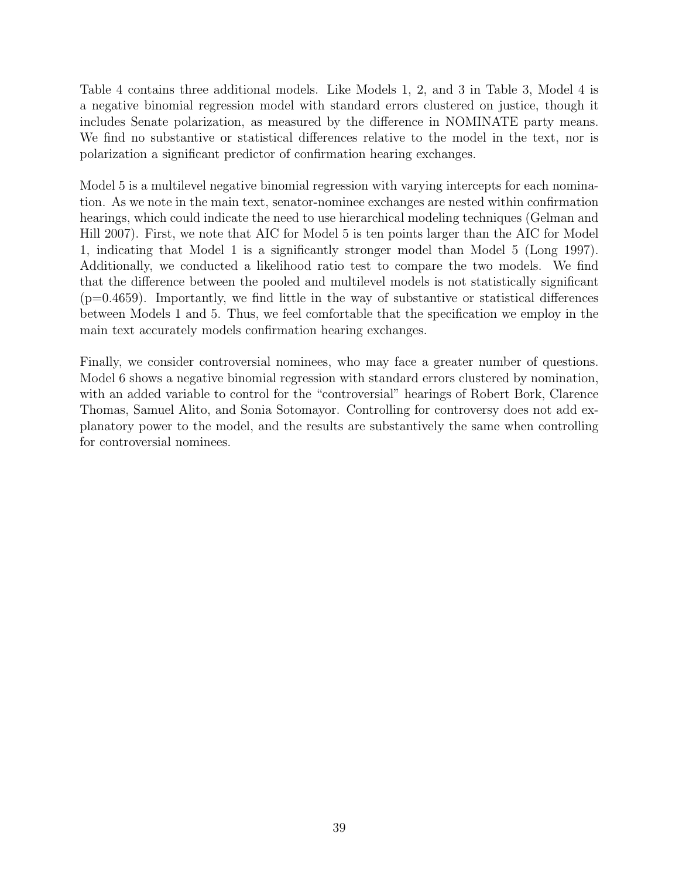Table [4](#page-40-0) contains three additional models. Like Models 1, 2, and 3 in Table [3,](#page-38-0) Model 4 is a negative binomial regression model with standard errors clustered on justice, though it includes Senate polarization, as measured by the difference in NOMINATE party means. We find no substantive or statistical differences relative to the model in the text, nor is polarization a significant predictor of confirmation hearing exchanges.

Model 5 is a multilevel negative binomial regression with varying intercepts for each nomination. As we note in the main text, senator-nominee exchanges are nested within confirmation hearings, which could indicate the need to use hierarchical modeling techniques [\(Gelman and](#page-33-11) [Hill 2007\)](#page-33-11). First, we note that AIC for Model 5 is ten points larger than the AIC for Model 1, indicating that Model 1 is a significantly stronger model than Model 5 [\(Long 1997\)](#page-34-8). Additionally, we conducted a likelihood ratio test to compare the two models. We find that the difference between the pooled and multilevel models is not statistically significant  $(p=0.4659)$ . Importantly, we find little in the way of substantive or statistical differences between Models 1 and 5. Thus, we feel comfortable that the specification we employ in the main text accurately models confirmation hearing exchanges.

Finally, we consider controversial nominees, who may face a greater number of questions. Model 6 shows a negative binomial regression with standard errors clustered by nomination, with an added variable to control for the "controversial" hearings of Robert Bork, Clarence Thomas, Samuel Alito, and Sonia Sotomayor. Controlling for controversy does not add explanatory power to the model, and the results are substantively the same when controlling for controversial nominees.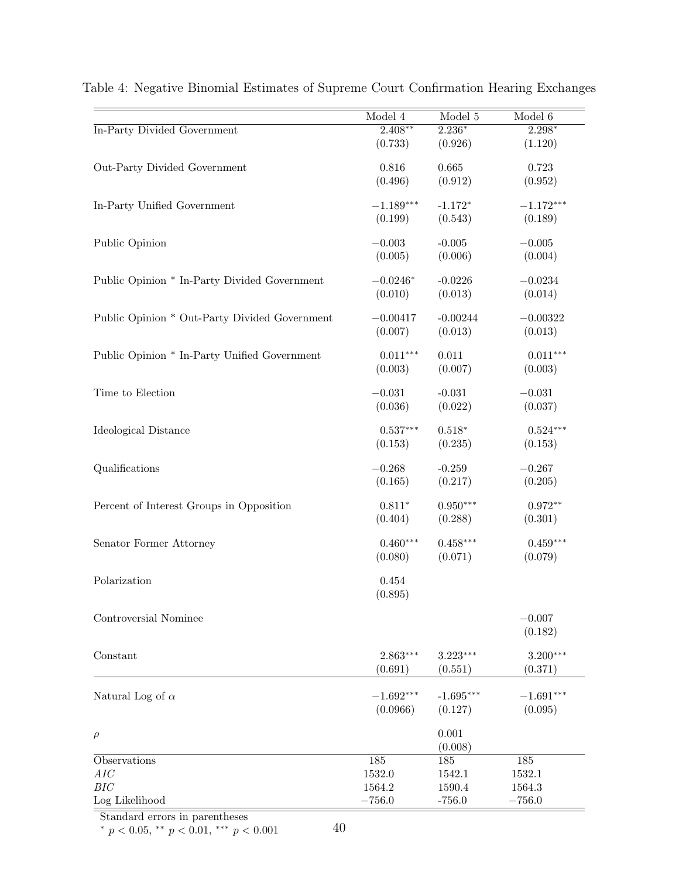|                                               | Model 4     | Model 5        | Model 6     |
|-----------------------------------------------|-------------|----------------|-------------|
| In-Party Divided Government                   | $2.408**$   | $2.236*$       | $2.298*$    |
|                                               | (0.733)     | (0.926)        | (1.120)     |
| Out-Party Divided Government                  | 0.816       | 0.665          | 0.723       |
|                                               | (0.496)     | (0.912)        | (0.952)     |
| In-Party Unified Government                   | $-1.189***$ | $-1.172*$      | $-1.172***$ |
|                                               | (0.199)     | (0.543)        | (0.189)     |
| Public Opinion                                | $-0.003$    | $-0.005$       | $-0.005$    |
|                                               | (0.005)     | (0.006)        | (0.004)     |
| Public Opinion * In-Party Divided Government  | $-0.0246*$  | $-0.0226$      | $-0.0234$   |
|                                               | (0.010)     | (0.013)        | (0.014)     |
| Public Opinion * Out-Party Divided Government | $-0.00417$  | $-0.00244$     | $-0.00322$  |
|                                               | (0.007)     | (0.013)        | (0.013)     |
| Public Opinion * In-Party Unified Government  | $0.011***$  | 0.011          | $0.011***$  |
|                                               | (0.003)     | (0.007)        | (0.003)     |
| Time to Election                              | $-0.031$    | $-0.031$       | $-0.031$    |
|                                               | (0.036)     | (0.022)        | (0.037)     |
| Ideological Distance                          | $0.537***$  | $0.518*$       | $0.524***$  |
|                                               | (0.153)     | (0.235)        | (0.153)     |
| Qualifications                                | $-0.268$    | $-0.259$       | $-0.267$    |
|                                               | (0.165)     | (0.217)        | (0.205)     |
| Percent of Interest Groups in Opposition      | $0.811*$    | $0.950***$     | $0.972**$   |
|                                               | (0.404)     | (0.288)        | (0.301)     |
| Senator Former Attorney                       | $0.460***$  | $0.458***$     | $0.459***$  |
|                                               | (0.080)     | (0.071)        | (0.079)     |
| Polarization                                  | 0.454       |                |             |
|                                               | (0.895)     |                |             |
| Controversial Nominee                         |             |                | $-0.007$    |
|                                               |             |                | (0.182)     |
| Constant                                      | $2.863***$  | $3.223***$     | $3.200***$  |
|                                               | (0.691)     | (0.551)        | (0.371)     |
| Natural Log of $\alpha$                       | $-1.692***$ | $-1.695***$    | $-1.691***$ |
|                                               | (0.0966)    | (0.127)        | (0.095)     |
| $\rho$                                        |             | 0.001          |             |
| Observations                                  | 185         | (0.008)<br>185 | 185         |
| AIC                                           | 1532.0      | 1542.1         | 1532.1      |
| BIC                                           | 1564.2      | 1590.4         | 1564.3      |
| Log Likelihood                                | $-756.0$    | $-756.0$       | $-756.0$    |

<span id="page-40-0"></span>Table 4: Negative Binomial Estimates of Supreme Court Confirmation Hearing Exchanges

Standard errors in parentheses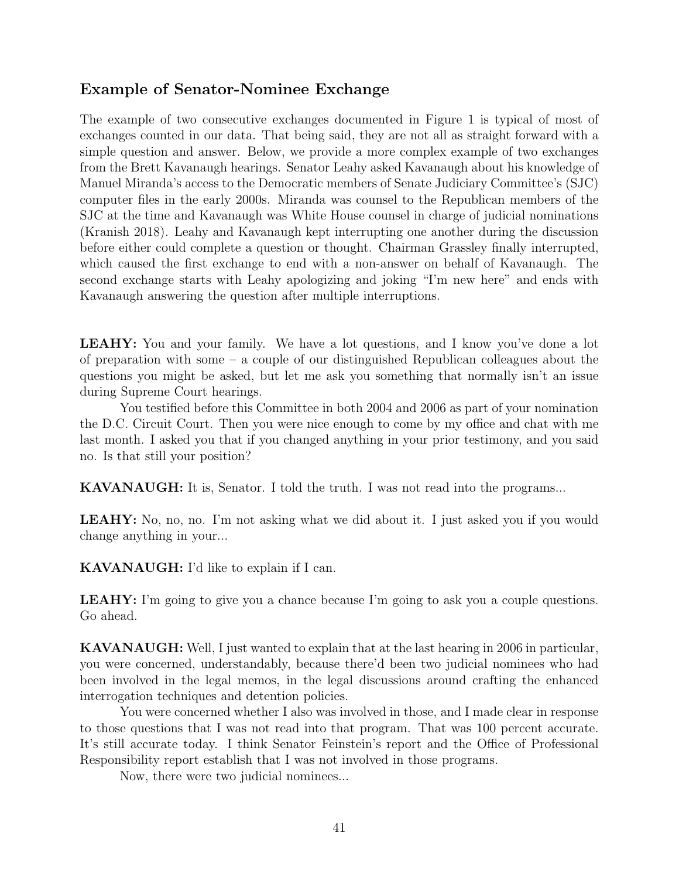### Example of Senator-Nominee Exchange

The example of two consecutive exchanges documented in Figure 1 is typical of most of exchanges counted in our data. That being said, they are not all as straight forward with a simple question and answer. Below, we provide a more complex example of two exchanges from the Brett Kavanaugh hearings. Senator Leahy asked Kavanaugh about his knowledge of Manuel Miranda's access to the Democratic members of Senate Judiciary Committee's (SJC) computer files in the early 2000s. Miranda was counsel to the Republican members of the SJC at the time and Kavanaugh was White House counsel in charge of judicial nominations [\(Kranish 2018\)](#page-34-12). Leahy and Kavanaugh kept interrupting one another during the discussion before either could complete a question or thought. Chairman Grassley finally interrupted, which caused the first exchange to end with a non-answer on behalf of Kavanaugh. The second exchange starts with Leahy apologizing and joking "I'm new here" and ends with Kavanaugh answering the question after multiple interruptions.

**LEAHY:** You and your family. We have a lot questions, and I know you've done a lot of preparation with some – a couple of our distinguished Republican colleagues about the questions you might be asked, but let me ask you something that normally isn't an issue during Supreme Court hearings.

You testified before this Committee in both 2004 and 2006 as part of your nomination the D.C. Circuit Court. Then you were nice enough to come by my office and chat with me last month. I asked you that if you changed anything in your prior testimony, and you said no. Is that still your position?

KAVANAUGH: It is, Senator. I told the truth. I was not read into the programs...

LEAHY: No, no, no. I'm not asking what we did about it. I just asked you if you would change anything in your...

KAVANAUGH: I'd like to explain if I can.

LEAHY: I'm going to give you a chance because I'm going to ask you a couple questions. Go ahead.

KAVANAUGH: Well, I just wanted to explain that at the last hearing in 2006 in particular, you were concerned, understandably, because there'd been two judicial nominees who had been involved in the legal memos, in the legal discussions around crafting the enhanced interrogation techniques and detention policies.

You were concerned whether I also was involved in those, and I made clear in response to those questions that I was not read into that program. That was 100 percent accurate. It's still accurate today. I think Senator Feinstein's report and the Office of Professional Responsibility report establish that I was not involved in those programs.

Now, there were two judicial nominees...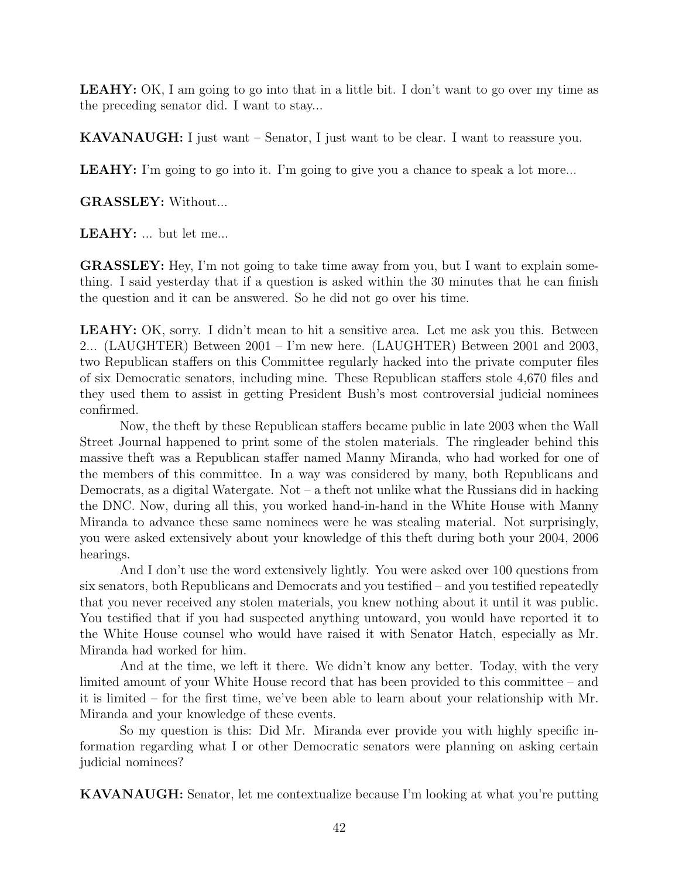LEAHY: OK, I am going to go into that in a little bit. I don't want to go over my time as the preceding senator did. I want to stay...

KAVANAUGH: I just want – Senator, I just want to be clear. I want to reassure you.

LEAHY: I'm going to go into it. I'm going to give you a chance to speak a lot more...

GRASSLEY: Without...

LEAHY: ... but let me...

GRASSLEY: Hey, I'm not going to take time away from you, but I want to explain something. I said yesterday that if a question is asked within the 30 minutes that he can finish the question and it can be answered. So he did not go over his time.

LEAHY: OK, sorry. I didn't mean to hit a sensitive area. Let me ask you this. Between 2... (LAUGHTER) Between 2001 – I'm new here. (LAUGHTER) Between 2001 and 2003, two Republican staffers on this Committee regularly hacked into the private computer files of six Democratic senators, including mine. These Republican staffers stole 4,670 files and they used them to assist in getting President Bush's most controversial judicial nominees confirmed.

Now, the theft by these Republican staffers became public in late 2003 when the Wall Street Journal happened to print some of the stolen materials. The ringleader behind this massive theft was a Republican staffer named Manny Miranda, who had worked for one of the members of this committee. In a way was considered by many, both Republicans and Democrats, as a digital Watergate. Not – a theft not unlike what the Russians did in hacking the DNC. Now, during all this, you worked hand-in-hand in the White House with Manny Miranda to advance these same nominees were he was stealing material. Not surprisingly, you were asked extensively about your knowledge of this theft during both your 2004, 2006 hearings.

And I don't use the word extensively lightly. You were asked over 100 questions from six senators, both Republicans and Democrats and you testified – and you testified repeatedly that you never received any stolen materials, you knew nothing about it until it was public. You testified that if you had suspected anything untoward, you would have reported it to the White House counsel who would have raised it with Senator Hatch, especially as Mr. Miranda had worked for him.

And at the time, we left it there. We didn't know any better. Today, with the very limited amount of your White House record that has been provided to this committee – and it is limited – for the first time, we've been able to learn about your relationship with Mr. Miranda and your knowledge of these events.

So my question is this: Did Mr. Miranda ever provide you with highly specific information regarding what I or other Democratic senators were planning on asking certain judicial nominees?

KAVANAUGH: Senator, let me contextualize because I'm looking at what you're putting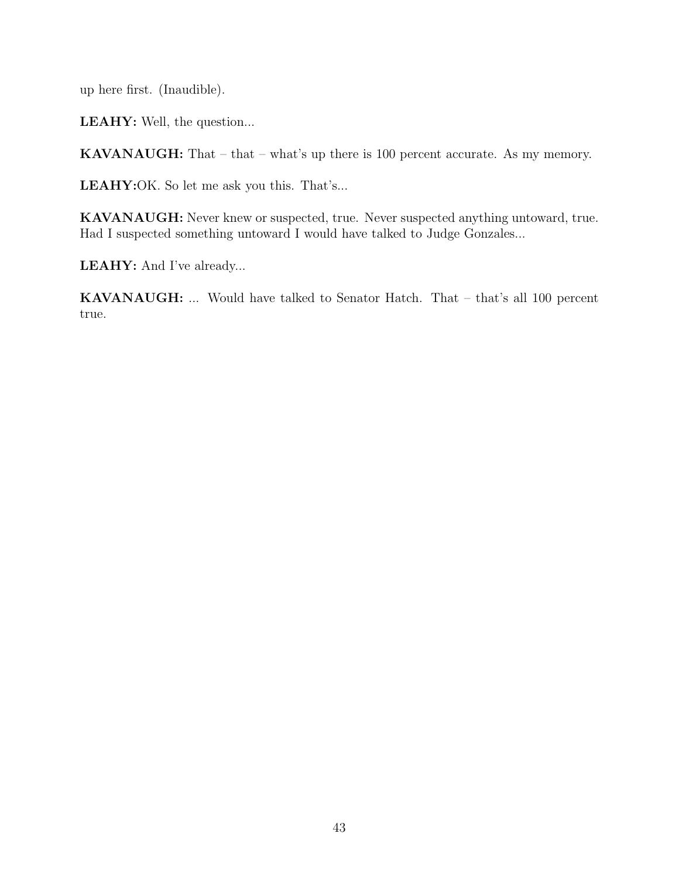up here first. (Inaudible).

LEAHY: Well, the question...

KAVANAUGH: That – that – what's up there is 100 percent accurate. As my memory.

LEAHY:OK. So let me ask you this. That's...

KAVANAUGH: Never knew or suspected, true. Never suspected anything untoward, true. Had I suspected something untoward I would have talked to Judge Gonzales...

LEAHY: And I've already...

KAVANAUGH: ... Would have talked to Senator Hatch. That – that's all 100 percent true.